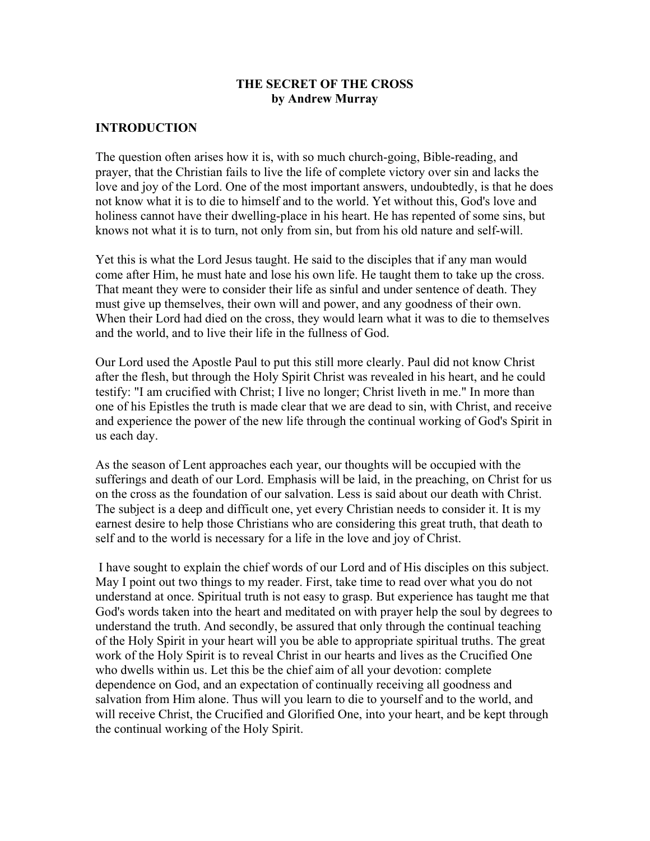#### **THE SECRET OF THE CROSS by Andrew Murray**

#### **INTRODUCTION**

The question often arises how it is, with so much church-going, Bible-reading, and prayer, that the Christian fails to live the life of complete victory over sin and lacks the love and joy of the Lord. One of the most important answers, undoubtedly, is that he does not know what it is to die to himself and to the world. Yet without this, God's love and holiness cannot have their dwelling-place in his heart. He has repented of some sins, but knows not what it is to turn, not only from sin, but from his old nature and self-will.

Yet this is what the Lord Jesus taught. He said to the disciples that if any man would come after Him, he must hate and lose his own life. He taught them to take up the cross. That meant they were to consider their life as sinful and under sentence of death. They must give up themselves, their own will and power, and any goodness of their own. When their Lord had died on the cross, they would learn what it was to die to themselves and the world, and to live their life in the fullness of God.

Our Lord used the Apostle Paul to put this still more clearly. Paul did not know Christ after the flesh, but through the Holy Spirit Christ was revealed in his heart, and he could testify: "I am crucified with Christ; I live no longer; Christ liveth in me." In more than one of his Epistles the truth is made clear that we are dead to sin, with Christ, and receive and experience the power of the new life through the continual working of God's Spirit in us each day.

As the season of Lent approaches each year, our thoughts will be occupied with the sufferings and death of our Lord. Emphasis will be laid, in the preaching, on Christ for us on the cross as the foundation of our salvation. Less is said about our death with Christ. The subject is a deep and difficult one, yet every Christian needs to consider it. It is my earnest desire to help those Christians who are considering this great truth, that death to self and to the world is necessary for a life in the love and joy of Christ.

 I have sought to explain the chief words of our Lord and of His disciples on this subject. May I point out two things to my reader. First, take time to read over what you do not understand at once. Spiritual truth is not easy to grasp. But experience has taught me that God's words taken into the heart and meditated on with prayer help the soul by degrees to understand the truth. And secondly, be assured that only through the continual teaching of the Holy Spirit in your heart will you be able to appropriate spiritual truths. The great work of the Holy Spirit is to reveal Christ in our hearts and lives as the Crucified One who dwells within us. Let this be the chief aim of all your devotion: complete dependence on God, and an expectation of continually receiving all goodness and salvation from Him alone. Thus will you learn to die to yourself and to the world, and will receive Christ, the Crucified and Glorified One, into your heart, and be kept through the continual working of the Holy Spirit.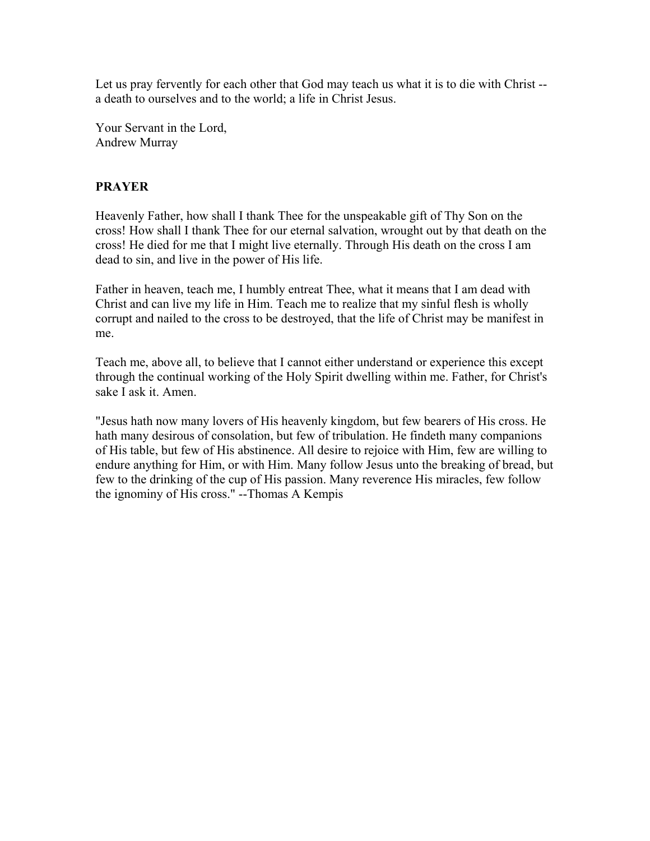Let us pray fervently for each other that God may teach us what it is to die with Christ - a death to ourselves and to the world; a life in Christ Jesus.

Your Servant in the Lord, Andrew Murray

# **PRAYER**

Heavenly Father, how shall I thank Thee for the unspeakable gift of Thy Son on the cross! How shall I thank Thee for our eternal salvation, wrought out by that death on the cross! He died for me that I might live eternally. Through His death on the cross I am dead to sin, and live in the power of His life.

Father in heaven, teach me, I humbly entreat Thee, what it means that I am dead with Christ and can live my life in Him. Teach me to realize that my sinful flesh is wholly corrupt and nailed to the cross to be destroyed, that the life of Christ may be manifest in me.

Teach me, above all, to believe that I cannot either understand or experience this except through the continual working of the Holy Spirit dwelling within me. Father, for Christ's sake I ask it. Amen.

"Jesus hath now many lovers of His heavenly kingdom, but few bearers of His cross. He hath many desirous of consolation, but few of tribulation. He findeth many companions of His table, but few of His abstinence. All desire to rejoice with Him, few are willing to endure anything for Him, or with Him. Many follow Jesus unto the breaking of bread, but few to the drinking of the cup of His passion. Many reverence His miracles, few follow the ignominy of His cross." --Thomas A Kempis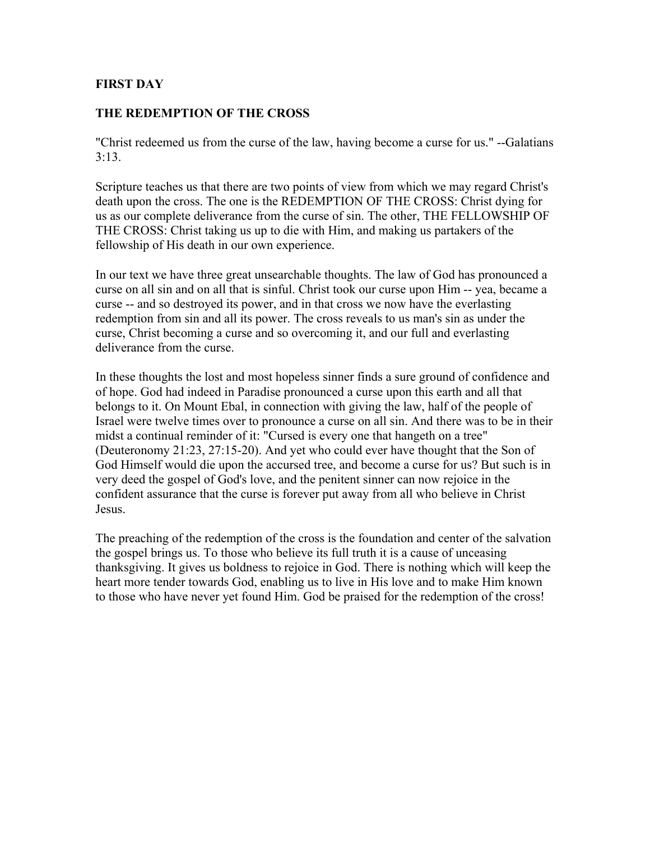## **FIRST DAY**

#### **THE REDEMPTION OF THE CROSS**

"Christ redeemed us from the curse of the law, having become a curse for us." --Galatians 3:13.

Scripture teaches us that there are two points of view from which we may regard Christ's death upon the cross. The one is the REDEMPTION OF THE CROSS: Christ dying for us as our complete deliverance from the curse of sin. The other, THE FELLOWSHIP OF THE CROSS: Christ taking us up to die with Him, and making us partakers of the fellowship of His death in our own experience.

In our text we have three great unsearchable thoughts. The law of God has pronounced a curse on all sin and on all that is sinful. Christ took our curse upon Him -- yea, became a curse -- and so destroyed its power, and in that cross we now have the everlasting redemption from sin and all its power. The cross reveals to us man's sin as under the curse, Christ becoming a curse and so overcoming it, and our full and everlasting deliverance from the curse.

In these thoughts the lost and most hopeless sinner finds a sure ground of confidence and of hope. God had indeed in Paradise pronounced a curse upon this earth and all that belongs to it. On Mount Ebal, in connection with giving the law, half of the people of Israel were twelve times over to pronounce a curse on all sin. And there was to be in their midst a continual reminder of it: "Cursed is every one that hangeth on a tree" (Deuteronomy 21:23, 27:15-20). And yet who could ever have thought that the Son of God Himself would die upon the accursed tree, and become a curse for us? But such is in very deed the gospel of God's love, and the penitent sinner can now rejoice in the confident assurance that the curse is forever put away from all who believe in Christ Jesus.

The preaching of the redemption of the cross is the foundation and center of the salvation the gospel brings us. To those who believe its full truth it is a cause of unceasing thanksgiving. It gives us boldness to rejoice in God. There is nothing which will keep the heart more tender towards God, enabling us to live in His love and to make Him known to those who have never yet found Him. God be praised for the redemption of the cross!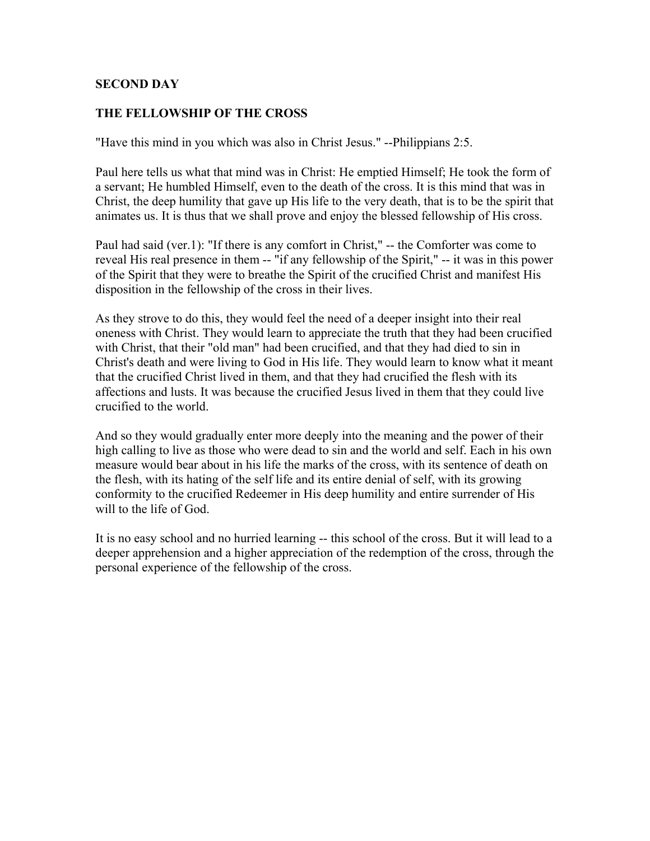# **SECOND DAY**

# **THE FELLOWSHIP OF THE CROSS**

"Have this mind in you which was also in Christ Jesus." --Philippians 2:5.

Paul here tells us what that mind was in Christ: He emptied Himself; He took the form of a servant; He humbled Himself, even to the death of the cross. It is this mind that was in Christ, the deep humility that gave up His life to the very death, that is to be the spirit that animates us. It is thus that we shall prove and enjoy the blessed fellowship of His cross.

Paul had said (ver.1): "If there is any comfort in Christ," -- the Comforter was come to reveal His real presence in them -- "if any fellowship of the Spirit," -- it was in this power of the Spirit that they were to breathe the Spirit of the crucified Christ and manifest His disposition in the fellowship of the cross in their lives.

As they strove to do this, they would feel the need of a deeper insight into their real oneness with Christ. They would learn to appreciate the truth that they had been crucified with Christ, that their "old man" had been crucified, and that they had died to sin in Christ's death and were living to God in His life. They would learn to know what it meant that the crucified Christ lived in them, and that they had crucified the flesh with its affections and lusts. It was because the crucified Jesus lived in them that they could live crucified to the world.

And so they would gradually enter more deeply into the meaning and the power of their high calling to live as those who were dead to sin and the world and self. Each in his own measure would bear about in his life the marks of the cross, with its sentence of death on the flesh, with its hating of the self life and its entire denial of self, with its growing conformity to the crucified Redeemer in His deep humility and entire surrender of His will to the life of God.

It is no easy school and no hurried learning -- this school of the cross. But it will lead to a deeper apprehension and a higher appreciation of the redemption of the cross, through the personal experience of the fellowship of the cross.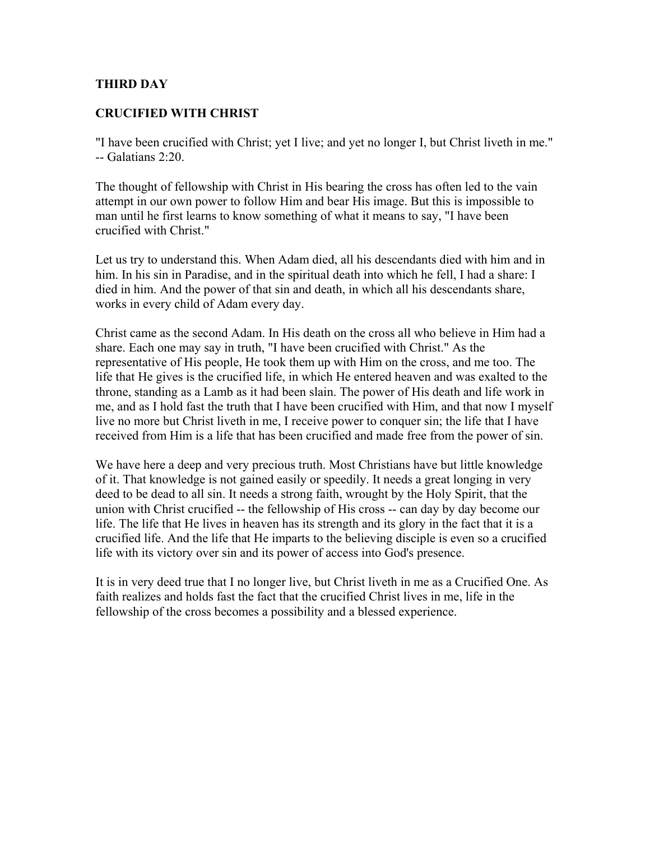# **THIRD DAY**

# **CRUCIFIED WITH CHRIST**

"I have been crucified with Christ; yet I live; and yet no longer I, but Christ liveth in me." -- Galatians 2:20.

The thought of fellowship with Christ in His bearing the cross has often led to the vain attempt in our own power to follow Him and bear His image. But this is impossible to man until he first learns to know something of what it means to say, "I have been crucified with Christ."

Let us try to understand this. When Adam died, all his descendants died with him and in him. In his sin in Paradise, and in the spiritual death into which he fell, I had a share: I died in him. And the power of that sin and death, in which all his descendants share, works in every child of Adam every day.

Christ came as the second Adam. In His death on the cross all who believe in Him had a share. Each one may say in truth, "I have been crucified with Christ." As the representative of His people, He took them up with Him on the cross, and me too. The life that He gives is the crucified life, in which He entered heaven and was exalted to the throne, standing as a Lamb as it had been slain. The power of His death and life work in me, and as I hold fast the truth that I have been crucified with Him, and that now I myself live no more but Christ liveth in me, I receive power to conquer sin; the life that I have received from Him is a life that has been crucified and made free from the power of sin.

We have here a deep and very precious truth. Most Christians have but little knowledge of it. That knowledge is not gained easily or speedily. It needs a great longing in very deed to be dead to all sin. It needs a strong faith, wrought by the Holy Spirit, that the union with Christ crucified -- the fellowship of His cross -- can day by day become our life. The life that He lives in heaven has its strength and its glory in the fact that it is a crucified life. And the life that He imparts to the believing disciple is even so a crucified life with its victory over sin and its power of access into God's presence.

It is in very deed true that I no longer live, but Christ liveth in me as a Crucified One. As faith realizes and holds fast the fact that the crucified Christ lives in me, life in the fellowship of the cross becomes a possibility and a blessed experience.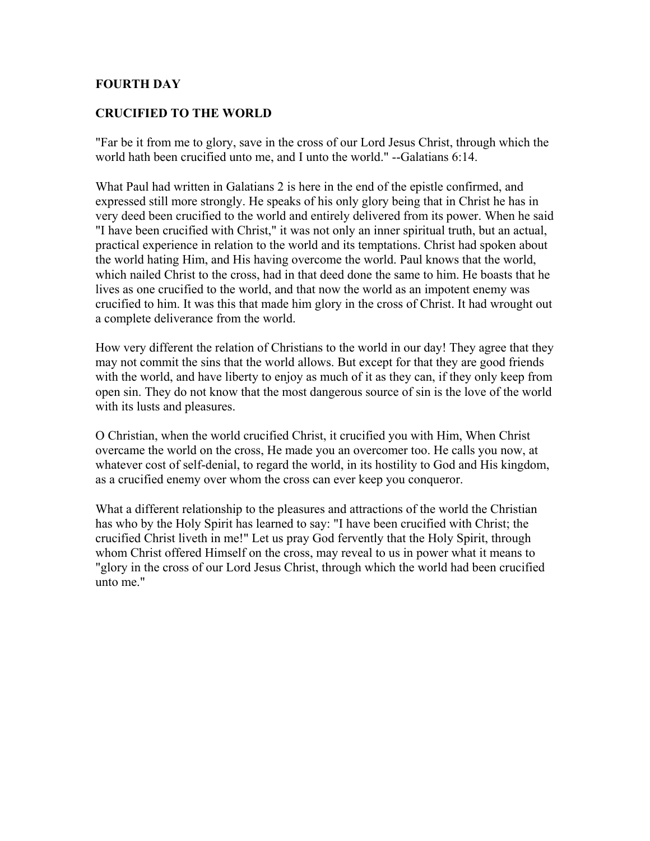# **FOURTH DAY**

# **CRUCIFIED TO THE WORLD**

"Far be it from me to glory, save in the cross of our Lord Jesus Christ, through which the world hath been crucified unto me, and I unto the world." --Galatians 6:14.

What Paul had written in Galatians 2 is here in the end of the epistle confirmed, and expressed still more strongly. He speaks of his only glory being that in Christ he has in very deed been crucified to the world and entirely delivered from its power. When he said "I have been crucified with Christ," it was not only an inner spiritual truth, but an actual, practical experience in relation to the world and its temptations. Christ had spoken about the world hating Him, and His having overcome the world. Paul knows that the world, which nailed Christ to the cross, had in that deed done the same to him. He boasts that he lives as one crucified to the world, and that now the world as an impotent enemy was crucified to him. It was this that made him glory in the cross of Christ. It had wrought out a complete deliverance from the world.

How very different the relation of Christians to the world in our day! They agree that they may not commit the sins that the world allows. But except for that they are good friends with the world, and have liberty to enjoy as much of it as they can, if they only keep from open sin. They do not know that the most dangerous source of sin is the love of the world with its lusts and pleasures.

O Christian, when the world crucified Christ, it crucified you with Him, When Christ overcame the world on the cross, He made you an overcomer too. He calls you now, at whatever cost of self-denial, to regard the world, in its hostility to God and His kingdom, as a crucified enemy over whom the cross can ever keep you conqueror.

What a different relationship to the pleasures and attractions of the world the Christian has who by the Holy Spirit has learned to say: "I have been crucified with Christ; the crucified Christ liveth in me!" Let us pray God fervently that the Holy Spirit, through whom Christ offered Himself on the cross, may reveal to us in power what it means to "glory in the cross of our Lord Jesus Christ, through which the world had been crucified unto me."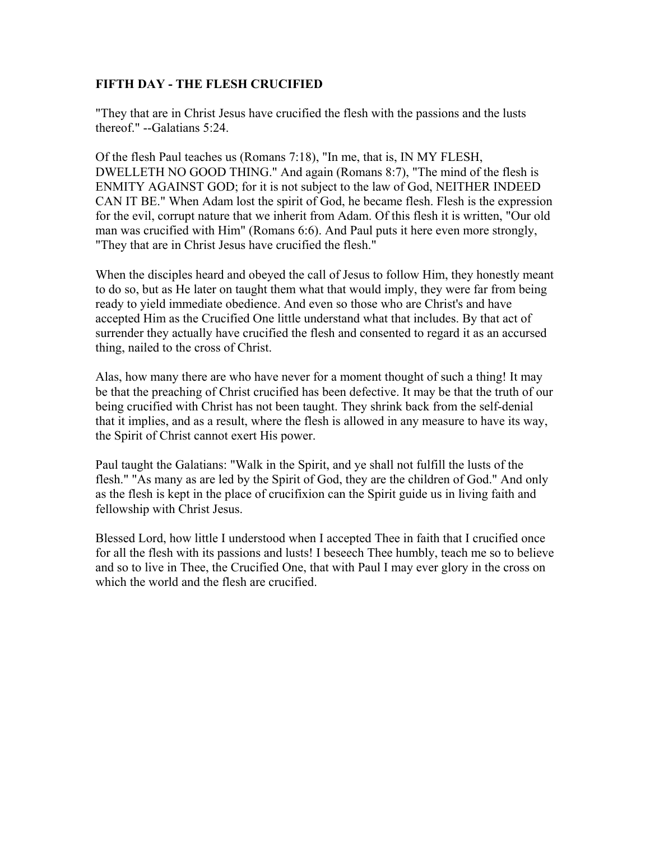# **FIFTH DAY - THE FLESH CRUCIFIED**

"They that are in Christ Jesus have crucified the flesh with the passions and the lusts thereof." --Galatians 5:24.

Of the flesh Paul teaches us (Romans 7:18), "In me, that is, IN MY FLESH, DWELLETH NO GOOD THING." And again (Romans 8:7), "The mind of the flesh is ENMITY AGAINST GOD; for it is not subject to the law of God, NEITHER INDEED CAN IT BE." When Adam lost the spirit of God, he became flesh. Flesh is the expression for the evil, corrupt nature that we inherit from Adam. Of this flesh it is written, "Our old man was crucified with Him" (Romans 6:6). And Paul puts it here even more strongly, "They that are in Christ Jesus have crucified the flesh."

When the disciples heard and obeyed the call of Jesus to follow Him, they honestly meant to do so, but as He later on taught them what that would imply, they were far from being ready to yield immediate obedience. And even so those who are Christ's and have accepted Him as the Crucified One little understand what that includes. By that act of surrender they actually have crucified the flesh and consented to regard it as an accursed thing, nailed to the cross of Christ.

Alas, how many there are who have never for a moment thought of such a thing! It may be that the preaching of Christ crucified has been defective. It may be that the truth of our being crucified with Christ has not been taught. They shrink back from the self-denial that it implies, and as a result, where the flesh is allowed in any measure to have its way, the Spirit of Christ cannot exert His power.

Paul taught the Galatians: "Walk in the Spirit, and ye shall not fulfill the lusts of the flesh." "As many as are led by the Spirit of God, they are the children of God." And only as the flesh is kept in the place of crucifixion can the Spirit guide us in living faith and fellowship with Christ Jesus.

Blessed Lord, how little I understood when I accepted Thee in faith that I crucified once for all the flesh with its passions and lusts! I beseech Thee humbly, teach me so to believe and so to live in Thee, the Crucified One, that with Paul I may ever glory in the cross on which the world and the flesh are crucified.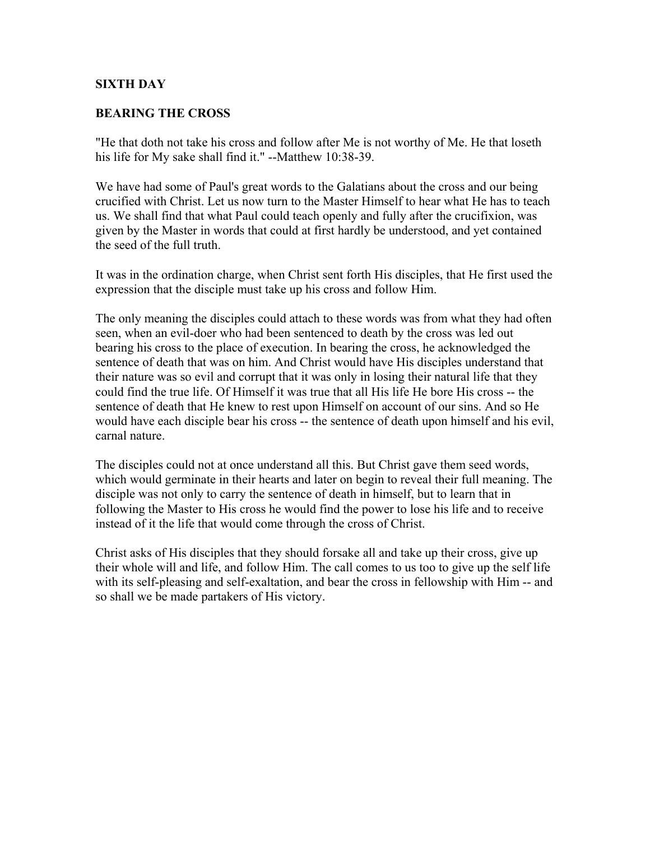# **SIXTH DAY**

#### **BEARING THE CROSS**

"He that doth not take his cross and follow after Me is not worthy of Me. He that loseth his life for My sake shall find it." --Matthew 10:38-39.

We have had some of Paul's great words to the Galatians about the cross and our being crucified with Christ. Let us now turn to the Master Himself to hear what He has to teach us. We shall find that what Paul could teach openly and fully after the crucifixion, was given by the Master in words that could at first hardly be understood, and yet contained the seed of the full truth.

It was in the ordination charge, when Christ sent forth His disciples, that He first used the expression that the disciple must take up his cross and follow Him.

The only meaning the disciples could attach to these words was from what they had often seen, when an evil-doer who had been sentenced to death by the cross was led out bearing his cross to the place of execution. In bearing the cross, he acknowledged the sentence of death that was on him. And Christ would have His disciples understand that their nature was so evil and corrupt that it was only in losing their natural life that they could find the true life. Of Himself it was true that all His life He bore His cross -- the sentence of death that He knew to rest upon Himself on account of our sins. And so He would have each disciple bear his cross -- the sentence of death upon himself and his evil, carnal nature.

The disciples could not at once understand all this. But Christ gave them seed words, which would germinate in their hearts and later on begin to reveal their full meaning. The disciple was not only to carry the sentence of death in himself, but to learn that in following the Master to His cross he would find the power to lose his life and to receive instead of it the life that would come through the cross of Christ.

Christ asks of His disciples that they should forsake all and take up their cross, give up their whole will and life, and follow Him. The call comes to us too to give up the self life with its self-pleasing and self-exaltation, and bear the cross in fellowship with Him -- and so shall we be made partakers of His victory.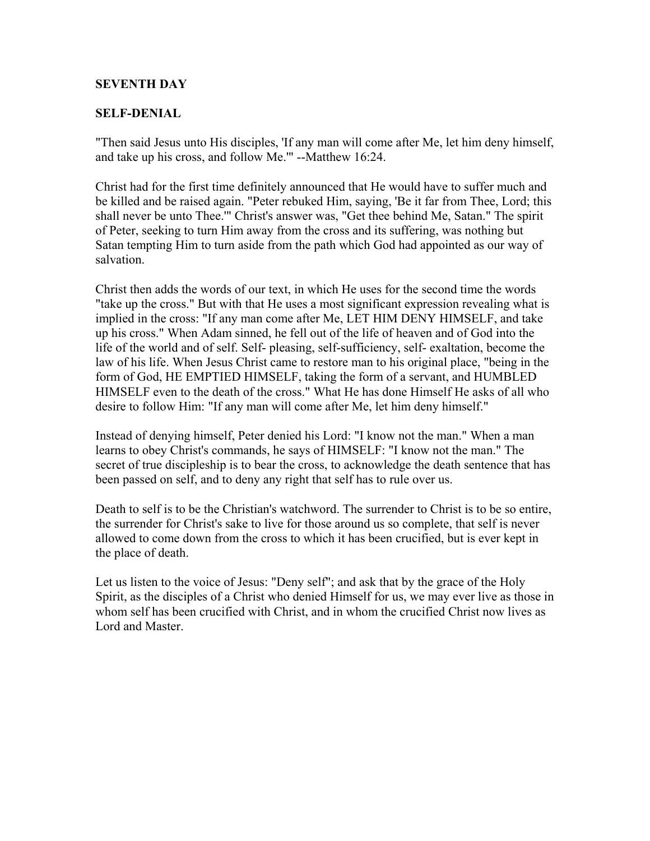## **SEVENTH DAY**

#### **SELF-DENIAL**

"Then said Jesus unto His disciples, 'If any man will come after Me, let him deny himself, and take up his cross, and follow Me.'" --Matthew 16:24.

Christ had for the first time definitely announced that He would have to suffer much and be killed and be raised again. "Peter rebuked Him, saying, 'Be it far from Thee, Lord; this shall never be unto Thee.'" Christ's answer was, "Get thee behind Me, Satan." The spirit of Peter, seeking to turn Him away from the cross and its suffering, was nothing but Satan tempting Him to turn aside from the path which God had appointed as our way of salvation.

Christ then adds the words of our text, in which He uses for the second time the words "take up the cross." But with that He uses a most significant expression revealing what is implied in the cross: "If any man come after Me, LET HIM DENY HIMSELF, and take up his cross." When Adam sinned, he fell out of the life of heaven and of God into the life of the world and of self. Self- pleasing, self-sufficiency, self- exaltation, become the law of his life. When Jesus Christ came to restore man to his original place, "being in the form of God, HE EMPTIED HIMSELF, taking the form of a servant, and HUMBLED HIMSELF even to the death of the cross." What He has done Himself He asks of all who desire to follow Him: "If any man will come after Me, let him deny himself."

Instead of denying himself, Peter denied his Lord: "I know not the man." When a man learns to obey Christ's commands, he says of HIMSELF: "I know not the man." The secret of true discipleship is to bear the cross, to acknowledge the death sentence that has been passed on self, and to deny any right that self has to rule over us.

Death to self is to be the Christian's watchword. The surrender to Christ is to be so entire, the surrender for Christ's sake to live for those around us so complete, that self is never allowed to come down from the cross to which it has been crucified, but is ever kept in the place of death.

Let us listen to the voice of Jesus: "Deny self"; and ask that by the grace of the Holy Spirit, as the disciples of a Christ who denied Himself for us, we may ever live as those in whom self has been crucified with Christ, and in whom the crucified Christ now lives as Lord and Master.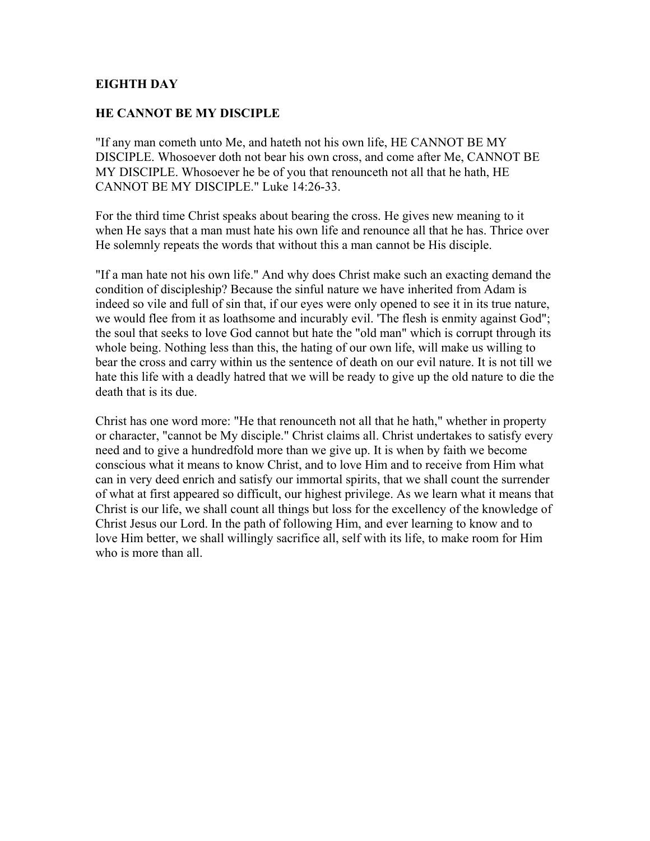# **EIGHTH DAY**

#### **HE CANNOT BE MY DISCIPLE**

"If any man cometh unto Me, and hateth not his own life, HE CANNOT BE MY DISCIPLE. Whosoever doth not bear his own cross, and come after Me, CANNOT BE MY DISCIPLE. Whosoever he be of you that renounceth not all that he hath, HE CANNOT BE MY DISCIPLE." Luke 14:26-33.

For the third time Christ speaks about bearing the cross. He gives new meaning to it when He says that a man must hate his own life and renounce all that he has. Thrice over He solemnly repeats the words that without this a man cannot be His disciple.

"If a man hate not his own life." And why does Christ make such an exacting demand the condition of discipleship? Because the sinful nature we have inherited from Adam is indeed so vile and full of sin that, if our eyes were only opened to see it in its true nature, we would flee from it as loathsome and incurably evil. 'The flesh is enmity against God"; the soul that seeks to love God cannot but hate the "old man" which is corrupt through its whole being. Nothing less than this, the hating of our own life, will make us willing to bear the cross and carry within us the sentence of death on our evil nature. It is not till we hate this life with a deadly hatred that we will be ready to give up the old nature to die the death that is its due.

Christ has one word more: "He that renounceth not all that he hath," whether in property or character, "cannot be My disciple." Christ claims all. Christ undertakes to satisfy every need and to give a hundredfold more than we give up. It is when by faith we become conscious what it means to know Christ, and to love Him and to receive from Him what can in very deed enrich and satisfy our immortal spirits, that we shall count the surrender of what at first appeared so difficult, our highest privilege. As we learn what it means that Christ is our life, we shall count all things but loss for the excellency of the knowledge of Christ Jesus our Lord. In the path of following Him, and ever learning to know and to love Him better, we shall willingly sacrifice all, self with its life, to make room for Him who is more than all.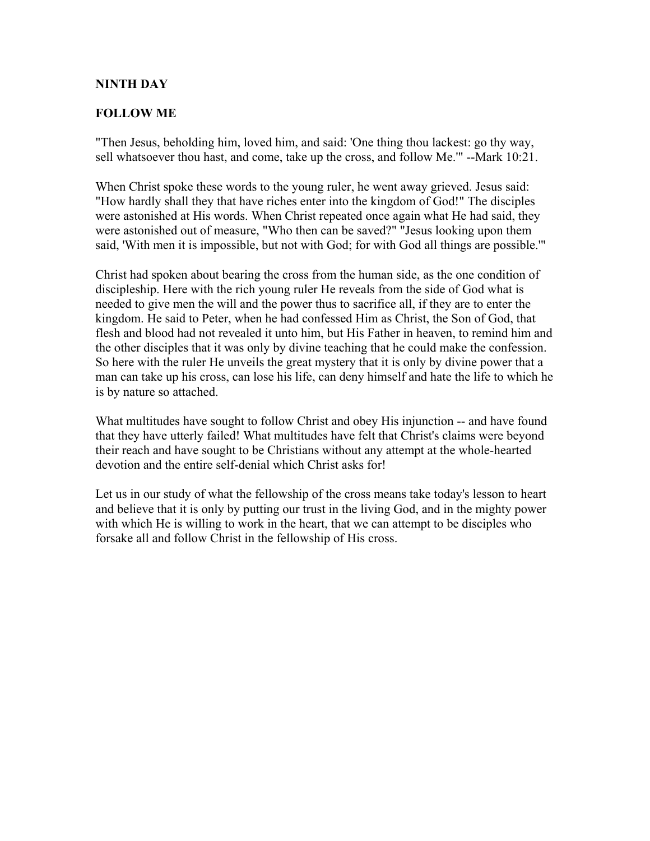# **NINTH DAY**

#### **FOLLOW ME**

"Then Jesus, beholding him, loved him, and said: 'One thing thou lackest: go thy way, sell whatsoever thou hast, and come, take up the cross, and follow Me.'" --Mark 10:21.

When Christ spoke these words to the young ruler, he went away grieved. Jesus said: "How hardly shall they that have riches enter into the kingdom of God!" The disciples were astonished at His words. When Christ repeated once again what He had said, they were astonished out of measure, "Who then can be saved?" "Jesus looking upon them said, 'With men it is impossible, but not with God; for with God all things are possible.'"

Christ had spoken about bearing the cross from the human side, as the one condition of discipleship. Here with the rich young ruler He reveals from the side of God what is needed to give men the will and the power thus to sacrifice all, if they are to enter the kingdom. He said to Peter, when he had confessed Him as Christ, the Son of God, that flesh and blood had not revealed it unto him, but His Father in heaven, to remind him and the other disciples that it was only by divine teaching that he could make the confession. So here with the ruler He unveils the great mystery that it is only by divine power that a man can take up his cross, can lose his life, can deny himself and hate the life to which he is by nature so attached.

What multitudes have sought to follow Christ and obey His injunction -- and have found that they have utterly failed! What multitudes have felt that Christ's claims were beyond their reach and have sought to be Christians without any attempt at the whole-hearted devotion and the entire self-denial which Christ asks for!

Let us in our study of what the fellowship of the cross means take today's lesson to heart and believe that it is only by putting our trust in the living God, and in the mighty power with which He is willing to work in the heart, that we can attempt to be disciples who forsake all and follow Christ in the fellowship of His cross.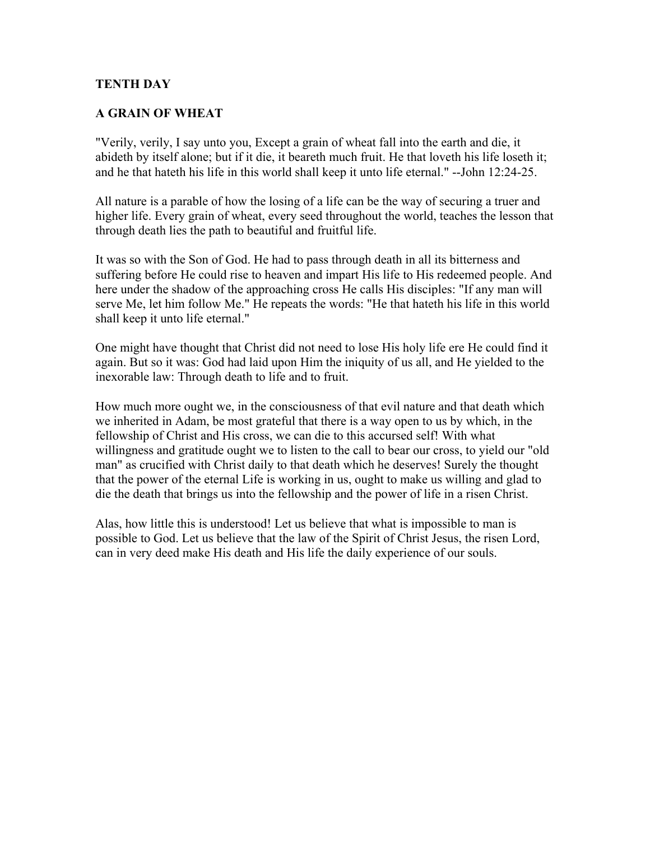# **TENTH DAY**

### **A GRAIN OF WHEAT**

"Verily, verily, I say unto you, Except a grain of wheat fall into the earth and die, it abideth by itself alone; but if it die, it beareth much fruit. He that loveth his life loseth it; and he that hateth his life in this world shall keep it unto life eternal." --John 12:24-25.

All nature is a parable of how the losing of a life can be the way of securing a truer and higher life. Every grain of wheat, every seed throughout the world, teaches the lesson that through death lies the path to beautiful and fruitful life.

It was so with the Son of God. He had to pass through death in all its bitterness and suffering before He could rise to heaven and impart His life to His redeemed people. And here under the shadow of the approaching cross He calls His disciples: "If any man will serve Me, let him follow Me." He repeats the words: "He that hateth his life in this world shall keep it unto life eternal."

One might have thought that Christ did not need to lose His holy life ere He could find it again. But so it was: God had laid upon Him the iniquity of us all, and He yielded to the inexorable law: Through death to life and to fruit.

How much more ought we, in the consciousness of that evil nature and that death which we inherited in Adam, be most grateful that there is a way open to us by which, in the fellowship of Christ and His cross, we can die to this accursed self! With what willingness and gratitude ought we to listen to the call to bear our cross, to yield our "old man" as crucified with Christ daily to that death which he deserves! Surely the thought that the power of the eternal Life is working in us, ought to make us willing and glad to die the death that brings us into the fellowship and the power of life in a risen Christ.

Alas, how little this is understood! Let us believe that what is impossible to man is possible to God. Let us believe that the law of the Spirit of Christ Jesus, the risen Lord, can in very deed make His death and His life the daily experience of our souls.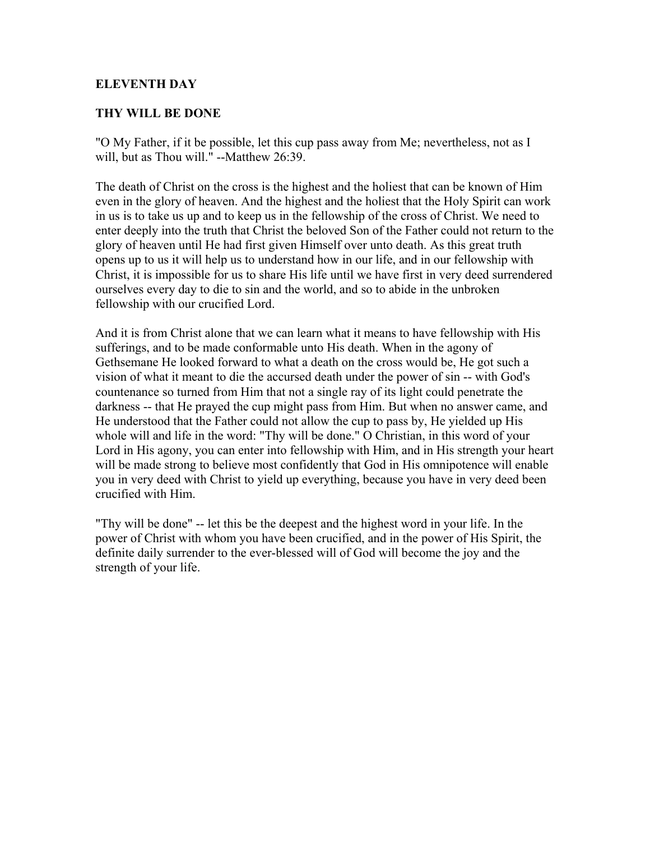# **ELEVENTH DAY**

# **THY WILL BE DONE**

"O My Father, if it be possible, let this cup pass away from Me; nevertheless, not as I will, but as Thou will." --Matthew 26:39.

The death of Christ on the cross is the highest and the holiest that can be known of Him even in the glory of heaven. And the highest and the holiest that the Holy Spirit can work in us is to take us up and to keep us in the fellowship of the cross of Christ. We need to enter deeply into the truth that Christ the beloved Son of the Father could not return to the glory of heaven until He had first given Himself over unto death. As this great truth opens up to us it will help us to understand how in our life, and in our fellowship with Christ, it is impossible for us to share His life until we have first in very deed surrendered ourselves every day to die to sin and the world, and so to abide in the unbroken fellowship with our crucified Lord.

And it is from Christ alone that we can learn what it means to have fellowship with His sufferings, and to be made conformable unto His death. When in the agony of Gethsemane He looked forward to what a death on the cross would be, He got such a vision of what it meant to die the accursed death under the power of sin -- with God's countenance so turned from Him that not a single ray of its light could penetrate the darkness -- that He prayed the cup might pass from Him. But when no answer came, and He understood that the Father could not allow the cup to pass by, He yielded up His whole will and life in the word: "Thy will be done." O Christian, in this word of your Lord in His agony, you can enter into fellowship with Him, and in His strength your heart will be made strong to believe most confidently that God in His omnipotence will enable you in very deed with Christ to yield up everything, because you have in very deed been crucified with Him.

"Thy will be done" -- let this be the deepest and the highest word in your life. In the power of Christ with whom you have been crucified, and in the power of His Spirit, the definite daily surrender to the ever-blessed will of God will become the joy and the strength of your life.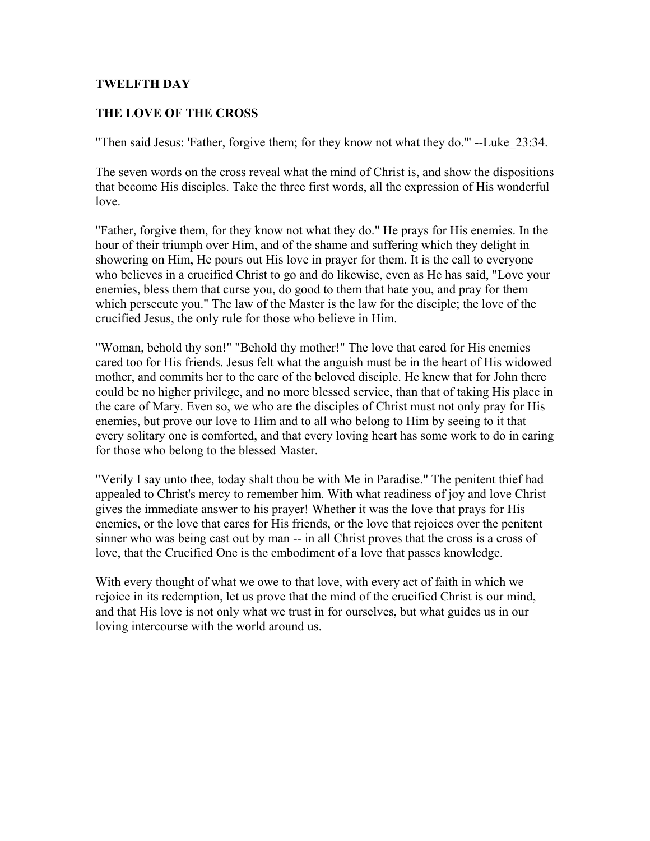## **TWELFTH DAY**

# **THE LOVE OF THE CROSS**

"Then said Jesus: 'Father, forgive them; for they know not what they do.'" --Luke\_23:34.

The seven words on the cross reveal what the mind of Christ is, and show the dispositions that become His disciples. Take the three first words, all the expression of His wonderful love.

"Father, forgive them, for they know not what they do." He prays for His enemies. In the hour of their triumph over Him, and of the shame and suffering which they delight in showering on Him, He pours out His love in prayer for them. It is the call to everyone who believes in a crucified Christ to go and do likewise, even as He has said, "Love your enemies, bless them that curse you, do good to them that hate you, and pray for them which persecute you." The law of the Master is the law for the disciple; the love of the crucified Jesus, the only rule for those who believe in Him.

"Woman, behold thy son!" "Behold thy mother!" The love that cared for His enemies cared too for His friends. Jesus felt what the anguish must be in the heart of His widowed mother, and commits her to the care of the beloved disciple. He knew that for John there could be no higher privilege, and no more blessed service, than that of taking His place in the care of Mary. Even so, we who are the disciples of Christ must not only pray for His enemies, but prove our love to Him and to all who belong to Him by seeing to it that every solitary one is comforted, and that every loving heart has some work to do in caring for those who belong to the blessed Master.

"Verily I say unto thee, today shalt thou be with Me in Paradise." The penitent thief had appealed to Christ's mercy to remember him. With what readiness of joy and love Christ gives the immediate answer to his prayer! Whether it was the love that prays for His enemies, or the love that cares for His friends, or the love that rejoices over the penitent sinner who was being cast out by man -- in all Christ proves that the cross is a cross of love, that the Crucified One is the embodiment of a love that passes knowledge.

With every thought of what we owe to that love, with every act of faith in which we rejoice in its redemption, let us prove that the mind of the crucified Christ is our mind, and that His love is not only what we trust in for ourselves, but what guides us in our loving intercourse with the world around us.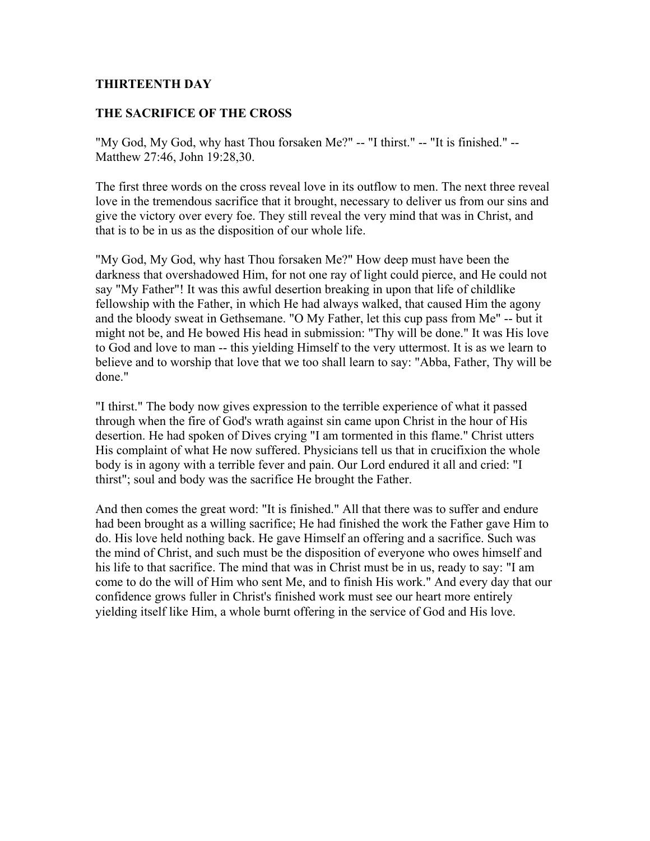# **THIRTEENTH DAY**

### **THE SACRIFICE OF THE CROSS**

"My God, My God, why hast Thou forsaken Me?" -- "I thirst." -- "It is finished." -- Matthew 27:46, John 19:28,30.

The first three words on the cross reveal love in its outflow to men. The next three reveal love in the tremendous sacrifice that it brought, necessary to deliver us from our sins and give the victory over every foe. They still reveal the very mind that was in Christ, and that is to be in us as the disposition of our whole life.

"My God, My God, why hast Thou forsaken Me?" How deep must have been the darkness that overshadowed Him, for not one ray of light could pierce, and He could not say "My Father"! It was this awful desertion breaking in upon that life of childlike fellowship with the Father, in which He had always walked, that caused Him the agony and the bloody sweat in Gethsemane. "O My Father, let this cup pass from Me" -- but it might not be, and He bowed His head in submission: "Thy will be done." It was His love to God and love to man -- this yielding Himself to the very uttermost. It is as we learn to believe and to worship that love that we too shall learn to say: "Abba, Father, Thy will be done."

"I thirst." The body now gives expression to the terrible experience of what it passed through when the fire of God's wrath against sin came upon Christ in the hour of His desertion. He had spoken of Dives crying "I am tormented in this flame." Christ utters His complaint of what He now suffered. Physicians tell us that in crucifixion the whole body is in agony with a terrible fever and pain. Our Lord endured it all and cried: "I thirst"; soul and body was the sacrifice He brought the Father.

And then comes the great word: "It is finished." All that there was to suffer and endure had been brought as a willing sacrifice; He had finished the work the Father gave Him to do. His love held nothing back. He gave Himself an offering and a sacrifice. Such was the mind of Christ, and such must be the disposition of everyone who owes himself and his life to that sacrifice. The mind that was in Christ must be in us, ready to say: "I am come to do the will of Him who sent Me, and to finish His work." And every day that our confidence grows fuller in Christ's finished work must see our heart more entirely yielding itself like Him, a whole burnt offering in the service of God and His love.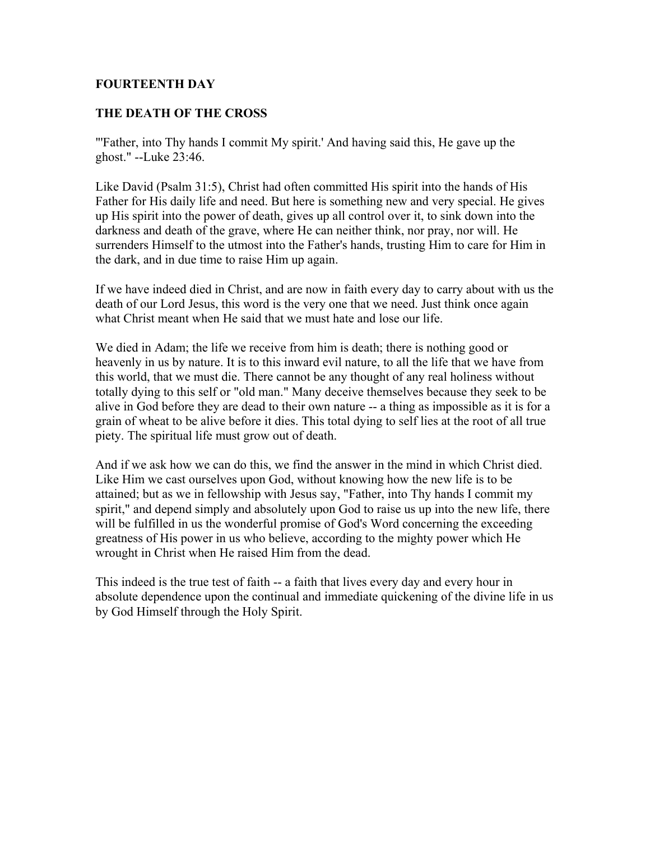### **FOURTEENTH DAY**

# **THE DEATH OF THE CROSS**

"'Father, into Thy hands I commit My spirit.' And having said this, He gave up the ghost." --Luke 23:46.

Like David (Psalm 31:5), Christ had often committed His spirit into the hands of His Father for His daily life and need. But here is something new and very special. He gives up His spirit into the power of death, gives up all control over it, to sink down into the darkness and death of the grave, where He can neither think, nor pray, nor will. He surrenders Himself to the utmost into the Father's hands, trusting Him to care for Him in the dark, and in due time to raise Him up again.

If we have indeed died in Christ, and are now in faith every day to carry about with us the death of our Lord Jesus, this word is the very one that we need. Just think once again what Christ meant when He said that we must hate and lose our life.

We died in Adam; the life we receive from him is death; there is nothing good or heavenly in us by nature. It is to this inward evil nature, to all the life that we have from this world, that we must die. There cannot be any thought of any real holiness without totally dying to this self or "old man." Many deceive themselves because they seek to be alive in God before they are dead to their own nature -- a thing as impossible as it is for a grain of wheat to be alive before it dies. This total dying to self lies at the root of all true piety. The spiritual life must grow out of death.

And if we ask how we can do this, we find the answer in the mind in which Christ died. Like Him we cast ourselves upon God, without knowing how the new life is to be attained; but as we in fellowship with Jesus say, "Father, into Thy hands I commit my spirit," and depend simply and absolutely upon God to raise us up into the new life, there will be fulfilled in us the wonderful promise of God's Word concerning the exceeding greatness of His power in us who believe, according to the mighty power which He wrought in Christ when He raised Him from the dead.

This indeed is the true test of faith -- a faith that lives every day and every hour in absolute dependence upon the continual and immediate quickening of the divine life in us by God Himself through the Holy Spirit.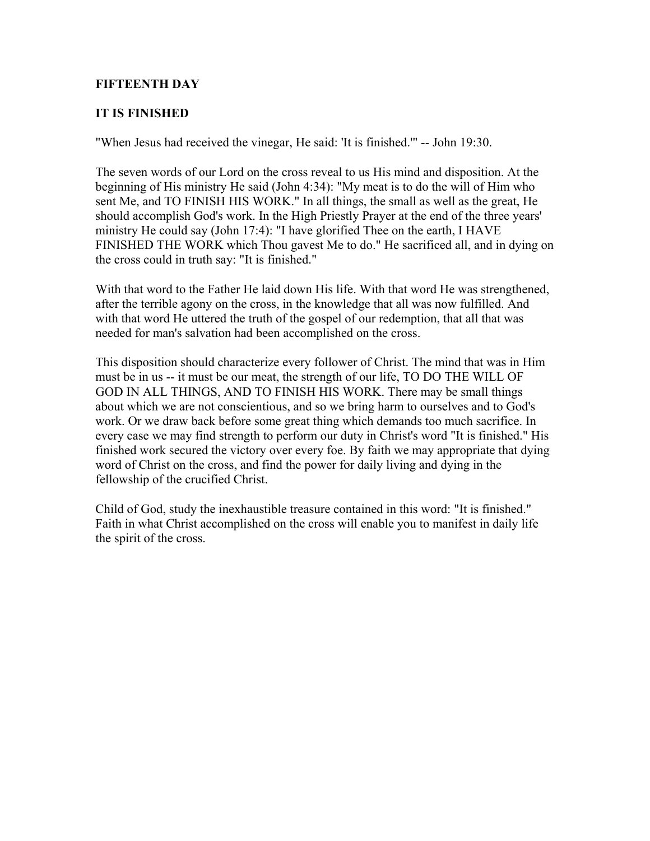# **FIFTEENTH DAY**

# **IT IS FINISHED**

"When Jesus had received the vinegar, He said: 'It is finished.'" -- John 19:30.

The seven words of our Lord on the cross reveal to us His mind and disposition. At the beginning of His ministry He said (John 4:34): "My meat is to do the will of Him who sent Me, and TO FINISH HIS WORK." In all things, the small as well as the great, He should accomplish God's work. In the High Priestly Prayer at the end of the three years' ministry He could say (John 17:4): "I have glorified Thee on the earth, I HAVE FINISHED THE WORK which Thou gavest Me to do." He sacrificed all, and in dying on the cross could in truth say: "It is finished."

With that word to the Father He laid down His life. With that word He was strengthened, after the terrible agony on the cross, in the knowledge that all was now fulfilled. And with that word He uttered the truth of the gospel of our redemption, that all that was needed for man's salvation had been accomplished on the cross.

This disposition should characterize every follower of Christ. The mind that was in Him must be in us -- it must be our meat, the strength of our life, TO DO THE WILL OF GOD IN ALL THINGS, AND TO FINISH HIS WORK. There may be small things about which we are not conscientious, and so we bring harm to ourselves and to God's work. Or we draw back before some great thing which demands too much sacrifice. In every case we may find strength to perform our duty in Christ's word "It is finished." His finished work secured the victory over every foe. By faith we may appropriate that dying word of Christ on the cross, and find the power for daily living and dying in the fellowship of the crucified Christ.

Child of God, study the inexhaustible treasure contained in this word: "It is finished." Faith in what Christ accomplished on the cross will enable you to manifest in daily life the spirit of the cross.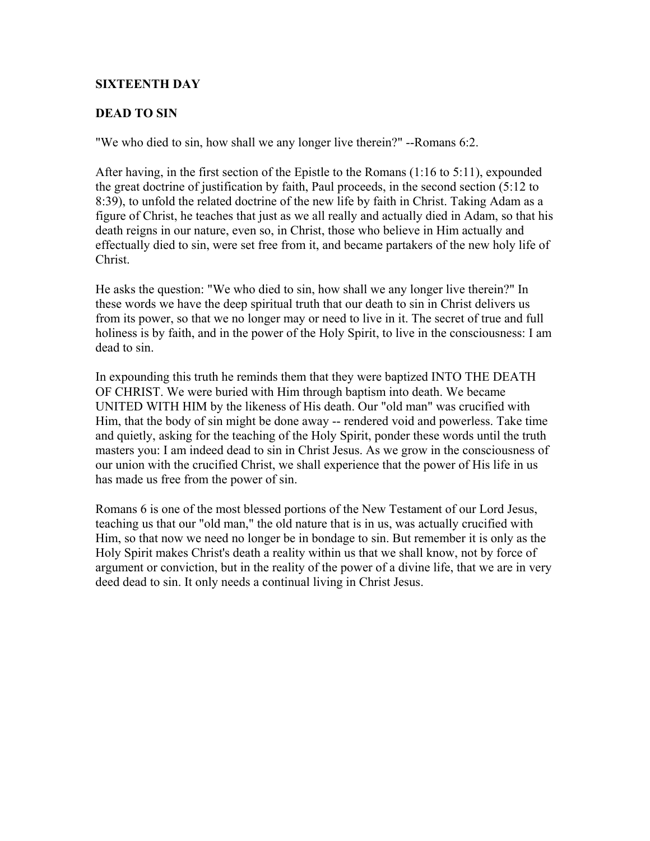# **SIXTEENTH DAY**

#### **DEAD TO SIN**

"We who died to sin, how shall we any longer live therein?" --Romans 6:2.

After having, in the first section of the Epistle to the Romans (1:16 to 5:11), expounded the great doctrine of justification by faith, Paul proceeds, in the second section (5:12 to 8:39), to unfold the related doctrine of the new life by faith in Christ. Taking Adam as a figure of Christ, he teaches that just as we all really and actually died in Adam, so that his death reigns in our nature, even so, in Christ, those who believe in Him actually and effectually died to sin, were set free from it, and became partakers of the new holy life of Christ.

He asks the question: "We who died to sin, how shall we any longer live therein?" In these words we have the deep spiritual truth that our death to sin in Christ delivers us from its power, so that we no longer may or need to live in it. The secret of true and full holiness is by faith, and in the power of the Holy Spirit, to live in the consciousness: I am dead to sin.

In expounding this truth he reminds them that they were baptized INTO THE DEATH OF CHRIST. We were buried with Him through baptism into death. We became UNITED WITH HIM by the likeness of His death. Our "old man" was crucified with Him, that the body of sin might be done away -- rendered void and powerless. Take time and quietly, asking for the teaching of the Holy Spirit, ponder these words until the truth masters you: I am indeed dead to sin in Christ Jesus. As we grow in the consciousness of our union with the crucified Christ, we shall experience that the power of His life in us has made us free from the power of sin.

Romans 6 is one of the most blessed portions of the New Testament of our Lord Jesus, teaching us that our "old man," the old nature that is in us, was actually crucified with Him, so that now we need no longer be in bondage to sin. But remember it is only as the Holy Spirit makes Christ's death a reality within us that we shall know, not by force of argument or conviction, but in the reality of the power of a divine life, that we are in very deed dead to sin. It only needs a continual living in Christ Jesus.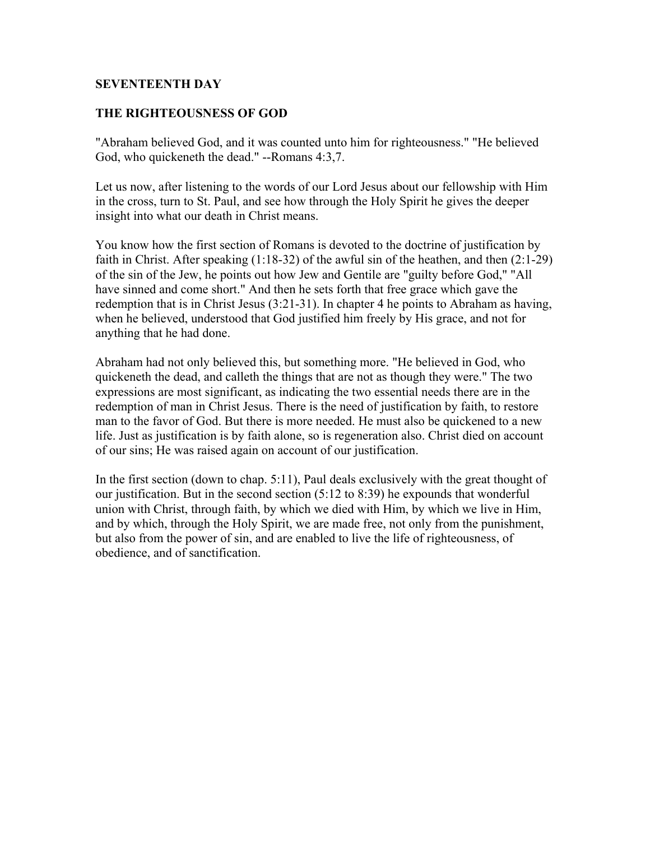### **SEVENTEENTH DAY**

# **THE RIGHTEOUSNESS OF GOD**

"Abraham believed God, and it was counted unto him for righteousness." "He believed God, who quickeneth the dead." --Romans 4:3,7.

Let us now, after listening to the words of our Lord Jesus about our fellowship with Him in the cross, turn to St. Paul, and see how through the Holy Spirit he gives the deeper insight into what our death in Christ means.

You know how the first section of Romans is devoted to the doctrine of justification by faith in Christ. After speaking (1:18-32) of the awful sin of the heathen, and then (2:1-29) of the sin of the Jew, he points out how Jew and Gentile are "guilty before God," "All have sinned and come short." And then he sets forth that free grace which gave the redemption that is in Christ Jesus (3:21-31). In chapter 4 he points to Abraham as having, when he believed, understood that God justified him freely by His grace, and not for anything that he had done.

Abraham had not only believed this, but something more. "He believed in God, who quickeneth the dead, and calleth the things that are not as though they were." The two expressions are most significant, as indicating the two essential needs there are in the redemption of man in Christ Jesus. There is the need of justification by faith, to restore man to the favor of God. But there is more needed. He must also be quickened to a new life. Just as justification is by faith alone, so is regeneration also. Christ died on account of our sins; He was raised again on account of our justification.

In the first section (down to chap. 5:11), Paul deals exclusively with the great thought of our justification. But in the second section (5:12 to 8:39) he expounds that wonderful union with Christ, through faith, by which we died with Him, by which we live in Him, and by which, through the Holy Spirit, we are made free, not only from the punishment, but also from the power of sin, and are enabled to live the life of righteousness, of obedience, and of sanctification.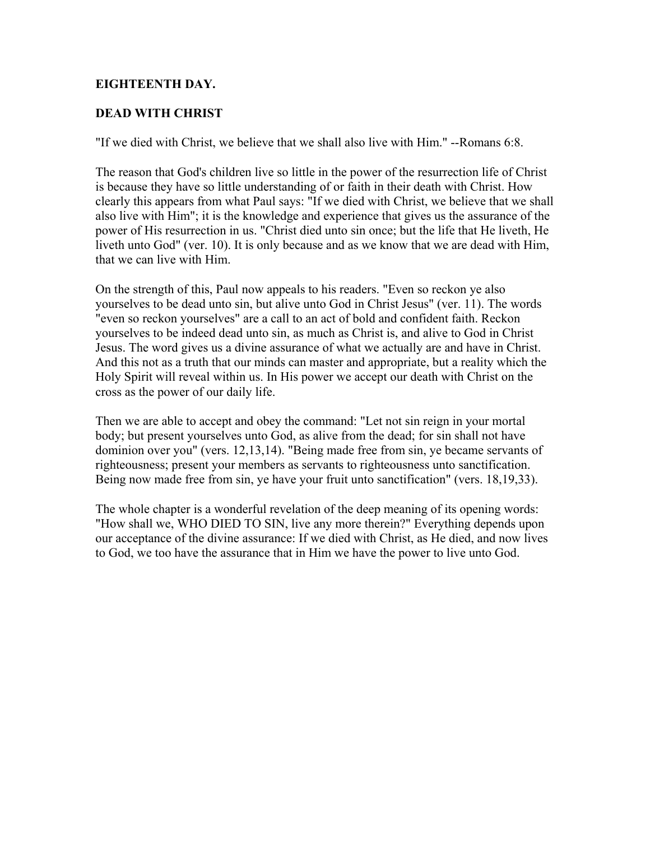# **EIGHTEENTH DAY.**

# **DEAD WITH CHRIST**

"If we died with Christ, we believe that we shall also live with Him." --Romans 6:8.

The reason that God's children live so little in the power of the resurrection life of Christ is because they have so little understanding of or faith in their death with Christ. How clearly this appears from what Paul says: "If we died with Christ, we believe that we shall also live with Him"; it is the knowledge and experience that gives us the assurance of the power of His resurrection in us. "Christ died unto sin once; but the life that He liveth, He liveth unto God" (ver. 10). It is only because and as we know that we are dead with Him, that we can live with Him.

On the strength of this, Paul now appeals to his readers. "Even so reckon ye also yourselves to be dead unto sin, but alive unto God in Christ Jesus" (ver. 11). The words "even so reckon yourselves" are a call to an act of bold and confident faith. Reckon yourselves to be indeed dead unto sin, as much as Christ is, and alive to God in Christ Jesus. The word gives us a divine assurance of what we actually are and have in Christ. And this not as a truth that our minds can master and appropriate, but a reality which the Holy Spirit will reveal within us. In His power we accept our death with Christ on the cross as the power of our daily life.

Then we are able to accept and obey the command: "Let not sin reign in your mortal body; but present yourselves unto God, as alive from the dead; for sin shall not have dominion over you" (vers. 12,13,14). "Being made free from sin, ye became servants of righteousness; present your members as servants to righteousness unto sanctification. Being now made free from sin, ye have your fruit unto sanctification" (vers. 18,19,33).

The whole chapter is a wonderful revelation of the deep meaning of its opening words: "How shall we, WHO DIED TO SIN, live any more therein?" Everything depends upon our acceptance of the divine assurance: If we died with Christ, as He died, and now lives to God, we too have the assurance that in Him we have the power to live unto God.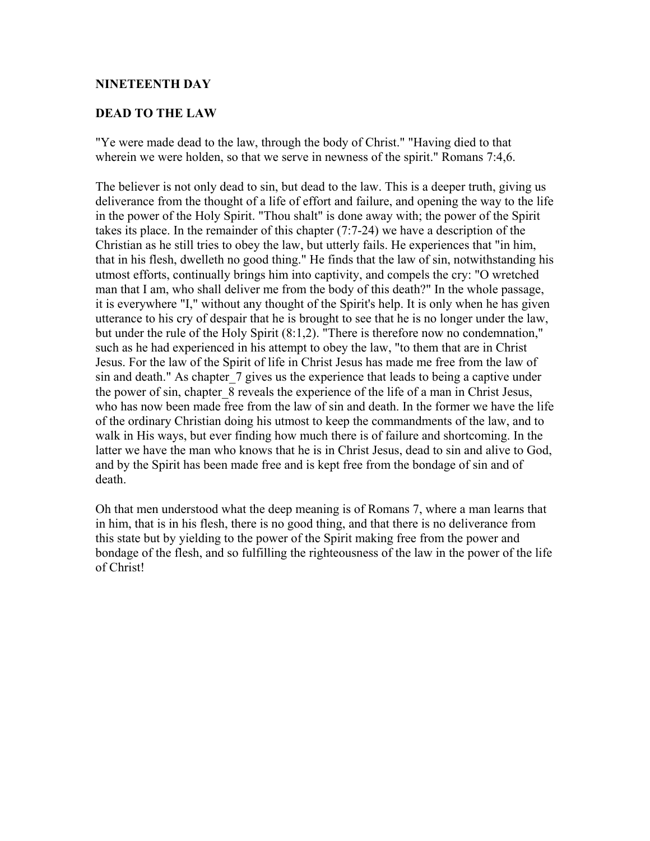### **NINETEENTH DAY**

### **DEAD TO THE LAW**

"Ye were made dead to the law, through the body of Christ." "Having died to that wherein we were holden, so that we serve in newness of the spirit." Romans 7:4,6.

The believer is not only dead to sin, but dead to the law. This is a deeper truth, giving us deliverance from the thought of a life of effort and failure, and opening the way to the life in the power of the Holy Spirit. "Thou shalt" is done away with; the power of the Spirit takes its place. In the remainder of this chapter (7:7-24) we have a description of the Christian as he still tries to obey the law, but utterly fails. He experiences that "in him, that in his flesh, dwelleth no good thing." He finds that the law of sin, notwithstanding his utmost efforts, continually brings him into captivity, and compels the cry: "O wretched man that I am, who shall deliver me from the body of this death?" In the whole passage, it is everywhere "I," without any thought of the Spirit's help. It is only when he has given utterance to his cry of despair that he is brought to see that he is no longer under the law, but under the rule of the Holy Spirit (8:1,2). "There is therefore now no condemnation," such as he had experienced in his attempt to obey the law, "to them that are in Christ Jesus. For the law of the Spirit of life in Christ Jesus has made me free from the law of sin and death." As chapter 7 gives us the experience that leads to being a captive under the power of sin, chapter 8 reveals the experience of the life of a man in Christ Jesus, who has now been made free from the law of sin and death. In the former we have the life of the ordinary Christian doing his utmost to keep the commandments of the law, and to walk in His ways, but ever finding how much there is of failure and shortcoming. In the latter we have the man who knows that he is in Christ Jesus, dead to sin and alive to God, and by the Spirit has been made free and is kept free from the bondage of sin and of death.

Oh that men understood what the deep meaning is of Romans 7, where a man learns that in him, that is in his flesh, there is no good thing, and that there is no deliverance from this state but by yielding to the power of the Spirit making free from the power and bondage of the flesh, and so fulfilling the righteousness of the law in the power of the life of Christ!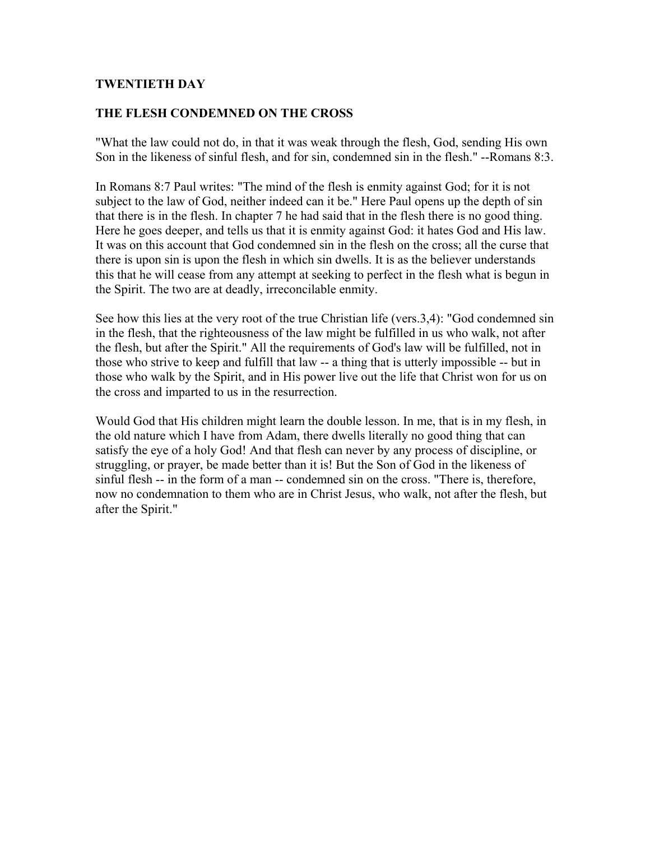## **TWENTIETH DAY**

#### **THE FLESH CONDEMNED ON THE CROSS**

"What the law could not do, in that it was weak through the flesh, God, sending His own Son in the likeness of sinful flesh, and for sin, condemned sin in the flesh." --Romans 8:3.

In Romans 8:7 Paul writes: "The mind of the flesh is enmity against God; for it is not subject to the law of God, neither indeed can it be." Here Paul opens up the depth of sin that there is in the flesh. In chapter 7 he had said that in the flesh there is no good thing. Here he goes deeper, and tells us that it is enmity against God: it hates God and His law. It was on this account that God condemned sin in the flesh on the cross; all the curse that there is upon sin is upon the flesh in which sin dwells. It is as the believer understands this that he will cease from any attempt at seeking to perfect in the flesh what is begun in the Spirit. The two are at deadly, irreconcilable enmity.

See how this lies at the very root of the true Christian life (vers.3,4): "God condemned sin in the flesh, that the righteousness of the law might be fulfilled in us who walk, not after the flesh, but after the Spirit." All the requirements of God's law will be fulfilled, not in those who strive to keep and fulfill that law -- a thing that is utterly impossible -- but in those who walk by the Spirit, and in His power live out the life that Christ won for us on the cross and imparted to us in the resurrection.

Would God that His children might learn the double lesson. In me, that is in my flesh, in the old nature which I have from Adam, there dwells literally no good thing that can satisfy the eye of a holy God! And that flesh can never by any process of discipline, or struggling, or prayer, be made better than it is! But the Son of God in the likeness of sinful flesh -- in the form of a man -- condemned sin on the cross. "There is, therefore, now no condemnation to them who are in Christ Jesus, who walk, not after the flesh, but after the Spirit."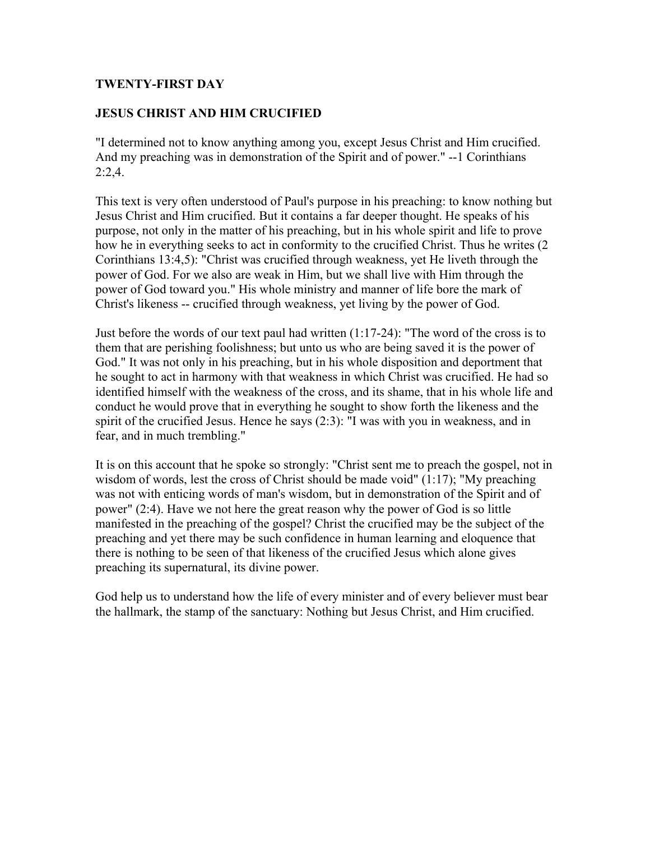# **TWENTY-FIRST DAY**

### **JESUS CHRIST AND HIM CRUCIFIED**

"I determined not to know anything among you, except Jesus Christ and Him crucified. And my preaching was in demonstration of the Spirit and of power." --1 Corinthians  $2:2,4.$ 

This text is very often understood of Paul's purpose in his preaching: to know nothing but Jesus Christ and Him crucified. But it contains a far deeper thought. He speaks of his purpose, not only in the matter of his preaching, but in his whole spirit and life to prove how he in everything seeks to act in conformity to the crucified Christ. Thus he writes (2 Corinthians 13:4,5): "Christ was crucified through weakness, yet He liveth through the power of God. For we also are weak in Him, but we shall live with Him through the power of God toward you." His whole ministry and manner of life bore the mark of Christ's likeness -- crucified through weakness, yet living by the power of God.

Just before the words of our text paul had written (1:17-24): "The word of the cross is to them that are perishing foolishness; but unto us who are being saved it is the power of God." It was not only in his preaching, but in his whole disposition and deportment that he sought to act in harmony with that weakness in which Christ was crucified. He had so identified himself with the weakness of the cross, and its shame, that in his whole life and conduct he would prove that in everything he sought to show forth the likeness and the spirit of the crucified Jesus. Hence he says (2:3): "I was with you in weakness, and in fear, and in much trembling."

It is on this account that he spoke so strongly: "Christ sent me to preach the gospel, not in wisdom of words, lest the cross of Christ should be made void" (1:17); "My preaching was not with enticing words of man's wisdom, but in demonstration of the Spirit and of power" (2:4). Have we not here the great reason why the power of God is so little manifested in the preaching of the gospel? Christ the crucified may be the subject of the preaching and yet there may be such confidence in human learning and eloquence that there is nothing to be seen of that likeness of the crucified Jesus which alone gives preaching its supernatural, its divine power.

God help us to understand how the life of every minister and of every believer must bear the hallmark, the stamp of the sanctuary: Nothing but Jesus Christ, and Him crucified.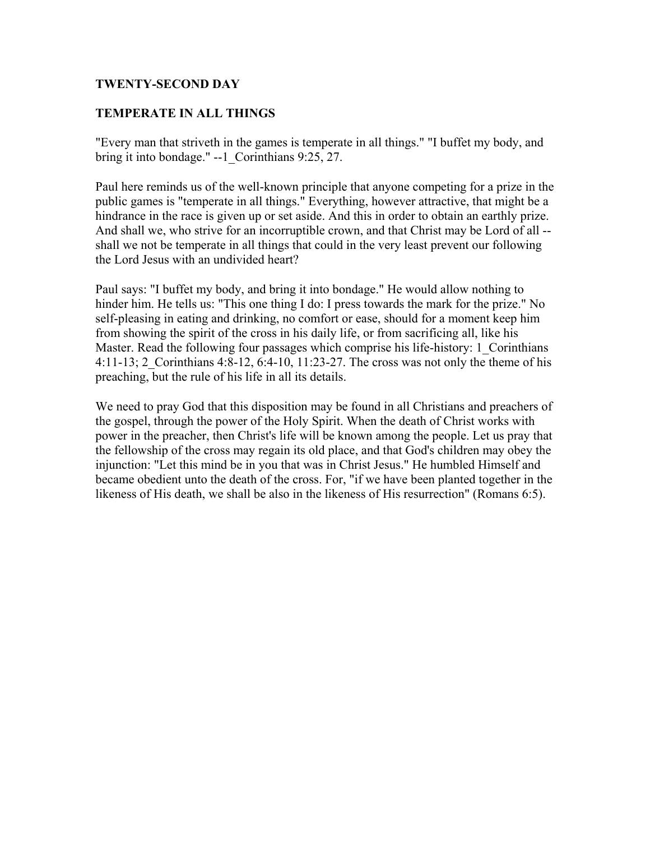## **TWENTY-SECOND DAY**

# **TEMPERATE IN ALL THINGS**

"Every man that striveth in the games is temperate in all things." "I buffet my body, and bring it into bondage." --1 Corinthians 9:25, 27.

Paul here reminds us of the well-known principle that anyone competing for a prize in the public games is "temperate in all things." Everything, however attractive, that might be a hindrance in the race is given up or set aside. And this in order to obtain an earthly prize. And shall we, who strive for an incorruptible crown, and that Christ may be Lord of all - shall we not be temperate in all things that could in the very least prevent our following the Lord Jesus with an undivided heart?

Paul says: "I buffet my body, and bring it into bondage." He would allow nothing to hinder him. He tells us: "This one thing I do: I press towards the mark for the prize." No self-pleasing in eating and drinking, no comfort or ease, should for a moment keep him from showing the spirit of the cross in his daily life, or from sacrificing all, like his Master. Read the following four passages which comprise his life-history: 1 Corinthians 4:11-13; 2\_Corinthians 4:8-12, 6:4-10, 11:23-27. The cross was not only the theme of his preaching, but the rule of his life in all its details.

We need to pray God that this disposition may be found in all Christians and preachers of the gospel, through the power of the Holy Spirit. When the death of Christ works with power in the preacher, then Christ's life will be known among the people. Let us pray that the fellowship of the cross may regain its old place, and that God's children may obey the injunction: "Let this mind be in you that was in Christ Jesus." He humbled Himself and became obedient unto the death of the cross. For, "if we have been planted together in the likeness of His death, we shall be also in the likeness of His resurrection" (Romans 6:5).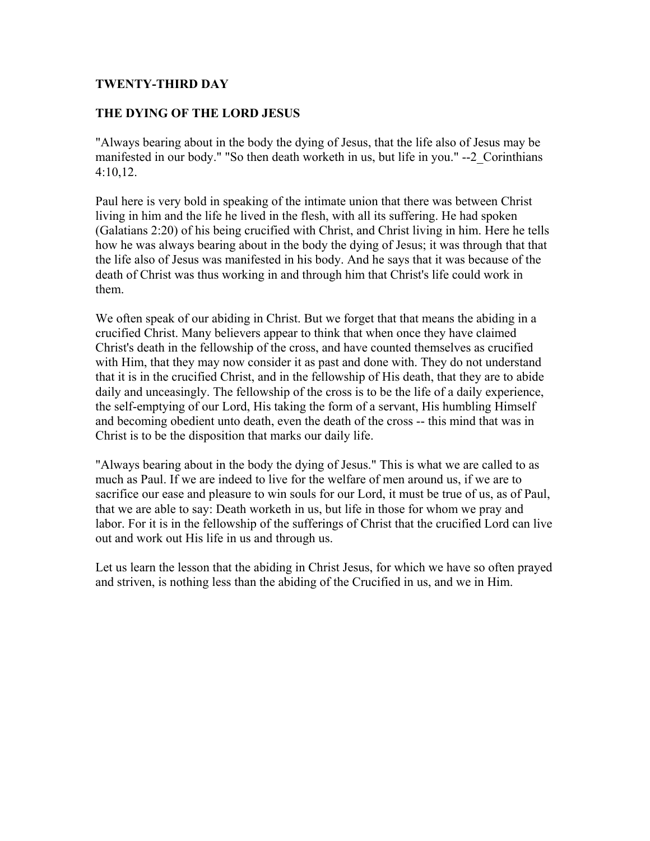# **TWENTY-THIRD DAY**

# **THE DYING OF THE LORD JESUS**

"Always bearing about in the body the dying of Jesus, that the life also of Jesus may be manifested in our body." "So then death worketh in us, but life in you." --2 Corinthians 4:10,12.

Paul here is very bold in speaking of the intimate union that there was between Christ living in him and the life he lived in the flesh, with all its suffering. He had spoken (Galatians 2:20) of his being crucified with Christ, and Christ living in him. Here he tells how he was always bearing about in the body the dying of Jesus; it was through that that the life also of Jesus was manifested in his body. And he says that it was because of the death of Christ was thus working in and through him that Christ's life could work in them.

We often speak of our abiding in Christ. But we forget that that means the abiding in a crucified Christ. Many believers appear to think that when once they have claimed Christ's death in the fellowship of the cross, and have counted themselves as crucified with Him, that they may now consider it as past and done with. They do not understand that it is in the crucified Christ, and in the fellowship of His death, that they are to abide daily and unceasingly. The fellowship of the cross is to be the life of a daily experience, the self-emptying of our Lord, His taking the form of a servant, His humbling Himself and becoming obedient unto death, even the death of the cross -- this mind that was in Christ is to be the disposition that marks our daily life.

"Always bearing about in the body the dying of Jesus." This is what we are called to as much as Paul. If we are indeed to live for the welfare of men around us, if we are to sacrifice our ease and pleasure to win souls for our Lord, it must be true of us, as of Paul, that we are able to say: Death worketh in us, but life in those for whom we pray and labor. For it is in the fellowship of the sufferings of Christ that the crucified Lord can live out and work out His life in us and through us.

Let us learn the lesson that the abiding in Christ Jesus, for which we have so often prayed and striven, is nothing less than the abiding of the Crucified in us, and we in Him.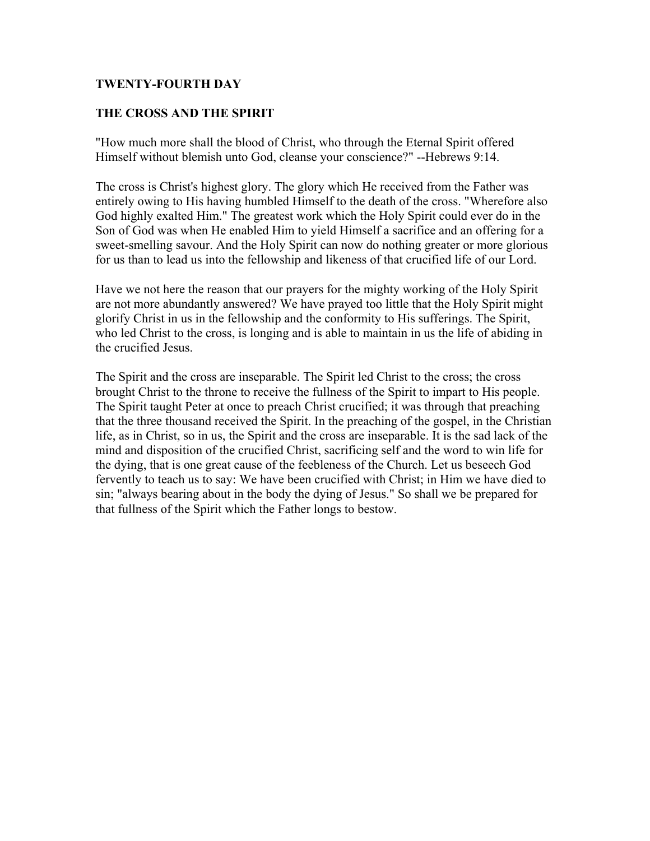## **TWENTY-FOURTH DAY**

# **THE CROSS AND THE SPIRIT**

"How much more shall the blood of Christ, who through the Eternal Spirit offered Himself without blemish unto God, cleanse your conscience?" --Hebrews 9:14.

The cross is Christ's highest glory. The glory which He received from the Father was entirely owing to His having humbled Himself to the death of the cross. "Wherefore also God highly exalted Him." The greatest work which the Holy Spirit could ever do in the Son of God was when He enabled Him to yield Himself a sacrifice and an offering for a sweet-smelling savour. And the Holy Spirit can now do nothing greater or more glorious for us than to lead us into the fellowship and likeness of that crucified life of our Lord.

Have we not here the reason that our prayers for the mighty working of the Holy Spirit are not more abundantly answered? We have prayed too little that the Holy Spirit might glorify Christ in us in the fellowship and the conformity to His sufferings. The Spirit, who led Christ to the cross, is longing and is able to maintain in us the life of abiding in the crucified Jesus.

The Spirit and the cross are inseparable. The Spirit led Christ to the cross; the cross brought Christ to the throne to receive the fullness of the Spirit to impart to His people. The Spirit taught Peter at once to preach Christ crucified; it was through that preaching that the three thousand received the Spirit. In the preaching of the gospel, in the Christian life, as in Christ, so in us, the Spirit and the cross are inseparable. It is the sad lack of the mind and disposition of the crucified Christ, sacrificing self and the word to win life for the dying, that is one great cause of the feebleness of the Church. Let us beseech God fervently to teach us to say: We have been crucified with Christ; in Him we have died to sin; "always bearing about in the body the dying of Jesus." So shall we be prepared for that fullness of the Spirit which the Father longs to bestow.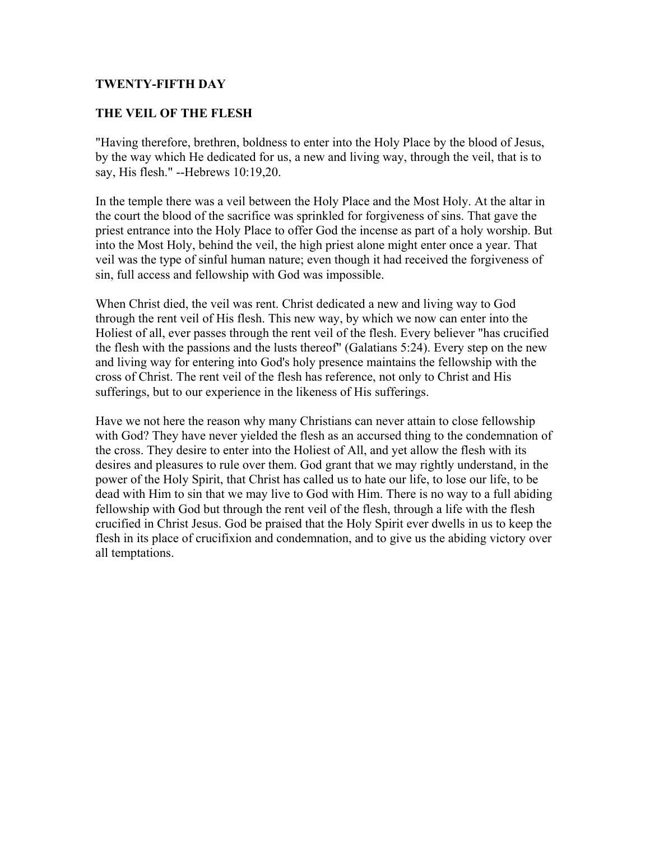### **TWENTY-FIFTH DAY**

### **THE VEIL OF THE FLESH**

"Having therefore, brethren, boldness to enter into the Holy Place by the blood of Jesus, by the way which He dedicated for us, a new and living way, through the veil, that is to say, His flesh." --Hebrews 10:19,20.

In the temple there was a veil between the Holy Place and the Most Holy. At the altar in the court the blood of the sacrifice was sprinkled for forgiveness of sins. That gave the priest entrance into the Holy Place to offer God the incense as part of a holy worship. But into the Most Holy, behind the veil, the high priest alone might enter once a year. That veil was the type of sinful human nature; even though it had received the forgiveness of sin, full access and fellowship with God was impossible.

When Christ died, the veil was rent. Christ dedicated a new and living way to God through the rent veil of His flesh. This new way, by which we now can enter into the Holiest of all, ever passes through the rent veil of the flesh. Every believer "has crucified the flesh with the passions and the lusts thereof" (Galatians 5:24). Every step on the new and living way for entering into God's holy presence maintains the fellowship with the cross of Christ. The rent veil of the flesh has reference, not only to Christ and His sufferings, but to our experience in the likeness of His sufferings.

Have we not here the reason why many Christians can never attain to close fellowship with God? They have never yielded the flesh as an accursed thing to the condemnation of the cross. They desire to enter into the Holiest of All, and yet allow the flesh with its desires and pleasures to rule over them. God grant that we may rightly understand, in the power of the Holy Spirit, that Christ has called us to hate our life, to lose our life, to be dead with Him to sin that we may live to God with Him. There is no way to a full abiding fellowship with God but through the rent veil of the flesh, through a life with the flesh crucified in Christ Jesus. God be praised that the Holy Spirit ever dwells in us to keep the flesh in its place of crucifixion and condemnation, and to give us the abiding victory over all temptations.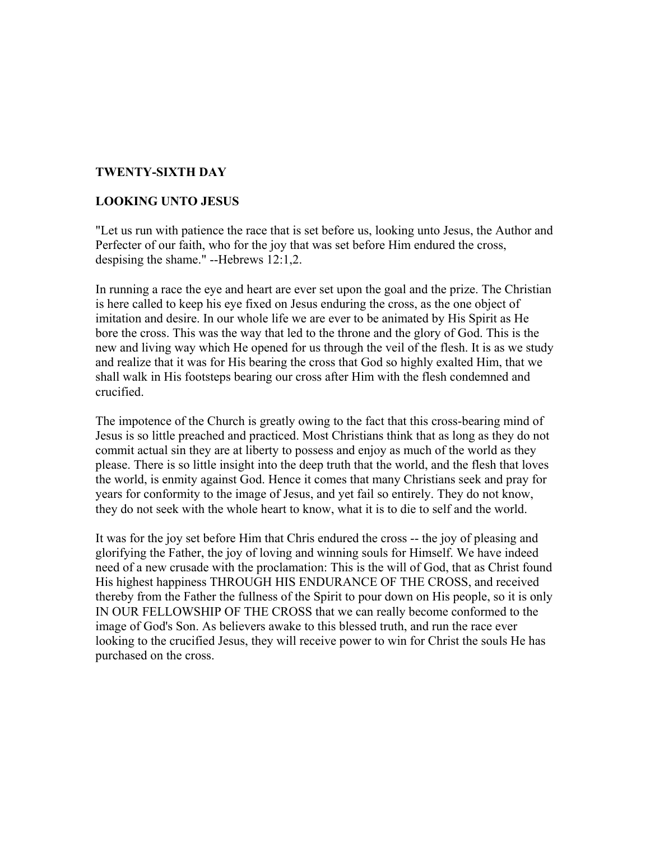### **TWENTY-SIXTH DAY**

#### **LOOKING UNTO JESUS**

"Let us run with patience the race that is set before us, looking unto Jesus, the Author and Perfecter of our faith, who for the joy that was set before Him endured the cross, despising the shame." --Hebrews 12:1,2.

In running a race the eye and heart are ever set upon the goal and the prize. The Christian is here called to keep his eye fixed on Jesus enduring the cross, as the one object of imitation and desire. In our whole life we are ever to be animated by His Spirit as He bore the cross. This was the way that led to the throne and the glory of God. This is the new and living way which He opened for us through the veil of the flesh. It is as we study and realize that it was for His bearing the cross that God so highly exalted Him, that we shall walk in His footsteps bearing our cross after Him with the flesh condemned and crucified.

The impotence of the Church is greatly owing to the fact that this cross-bearing mind of Jesus is so little preached and practiced. Most Christians think that as long as they do not commit actual sin they are at liberty to possess and enjoy as much of the world as they please. There is so little insight into the deep truth that the world, and the flesh that loves the world, is enmity against God. Hence it comes that many Christians seek and pray for years for conformity to the image of Jesus, and yet fail so entirely. They do not know, they do not seek with the whole heart to know, what it is to die to self and the world.

It was for the joy set before Him that Chris endured the cross -- the joy of pleasing and glorifying the Father, the joy of loving and winning souls for Himself. We have indeed need of a new crusade with the proclamation: This is the will of God, that as Christ found His highest happiness THROUGH HIS ENDURANCE OF THE CROSS, and received thereby from the Father the fullness of the Spirit to pour down on His people, so it is only IN OUR FELLOWSHIP OF THE CROSS that we can really become conformed to the image of God's Son. As believers awake to this blessed truth, and run the race ever looking to the crucified Jesus, they will receive power to win for Christ the souls He has purchased on the cross.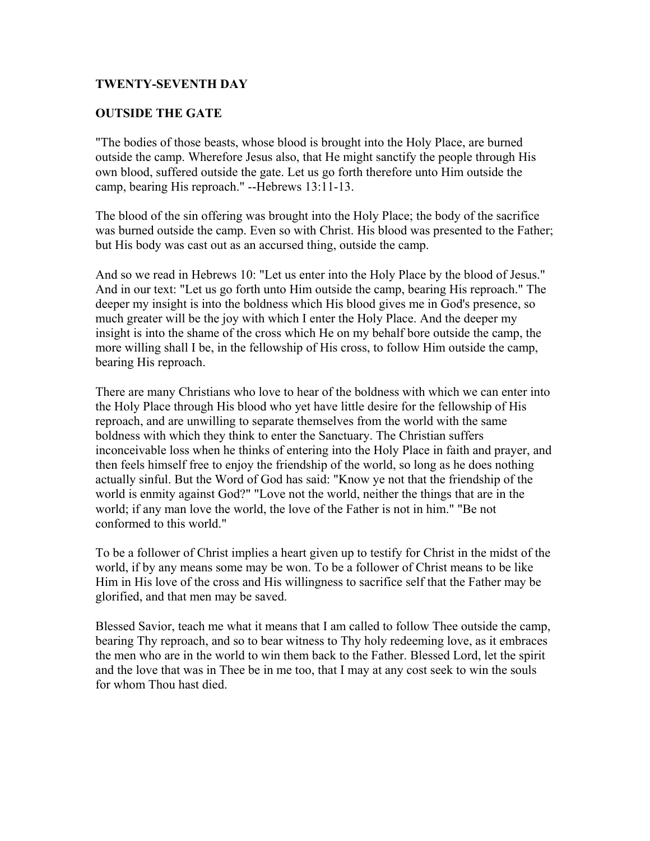# **TWENTY-SEVENTH DAY**

#### **OUTSIDE THE GATE**

"The bodies of those beasts, whose blood is brought into the Holy Place, are burned outside the camp. Wherefore Jesus also, that He might sanctify the people through His own blood, suffered outside the gate. Let us go forth therefore unto Him outside the camp, bearing His reproach." --Hebrews 13:11-13.

The blood of the sin offering was brought into the Holy Place; the body of the sacrifice was burned outside the camp. Even so with Christ. His blood was presented to the Father; but His body was cast out as an accursed thing, outside the camp.

And so we read in Hebrews 10: "Let us enter into the Holy Place by the blood of Jesus." And in our text: "Let us go forth unto Him outside the camp, bearing His reproach." The deeper my insight is into the boldness which His blood gives me in God's presence, so much greater will be the joy with which I enter the Holy Place. And the deeper my insight is into the shame of the cross which He on my behalf bore outside the camp, the more willing shall I be, in the fellowship of His cross, to follow Him outside the camp, bearing His reproach.

There are many Christians who love to hear of the boldness with which we can enter into the Holy Place through His blood who yet have little desire for the fellowship of His reproach, and are unwilling to separate themselves from the world with the same boldness with which they think to enter the Sanctuary. The Christian suffers inconceivable loss when he thinks of entering into the Holy Place in faith and prayer, and then feels himself free to enjoy the friendship of the world, so long as he does nothing actually sinful. But the Word of God has said: "Know ye not that the friendship of the world is enmity against God?" "Love not the world, neither the things that are in the world; if any man love the world, the love of the Father is not in him." "Be not conformed to this world."

To be a follower of Christ implies a heart given up to testify for Christ in the midst of the world, if by any means some may be won. To be a follower of Christ means to be like Him in His love of the cross and His willingness to sacrifice self that the Father may be glorified, and that men may be saved.

Blessed Savior, teach me what it means that I am called to follow Thee outside the camp, bearing Thy reproach, and so to bear witness to Thy holy redeeming love, as it embraces the men who are in the world to win them back to the Father. Blessed Lord, let the spirit and the love that was in Thee be in me too, that I may at any cost seek to win the souls for whom Thou hast died.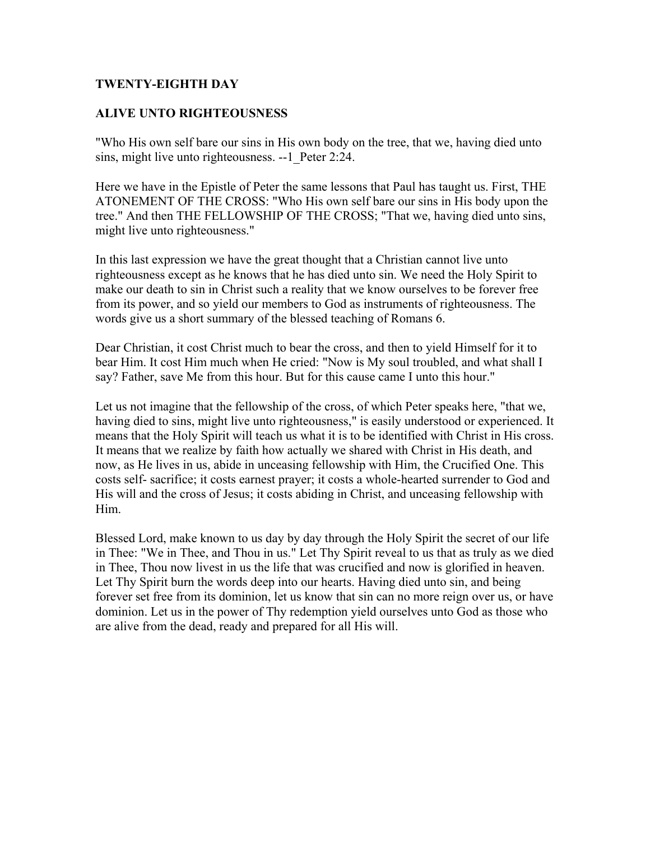# **TWENTY-EIGHTH DAY**

# **ALIVE UNTO RIGHTEOUSNESS**

"Who His own self bare our sins in His own body on the tree, that we, having died unto sins, might live unto righteousness. --1 Peter 2:24.

Here we have in the Epistle of Peter the same lessons that Paul has taught us. First, THE ATONEMENT OF THE CROSS: "Who His own self bare our sins in His body upon the tree." And then THE FELLOWSHIP OF THE CROSS; "That we, having died unto sins, might live unto righteousness."

In this last expression we have the great thought that a Christian cannot live unto righteousness except as he knows that he has died unto sin. We need the Holy Spirit to make our death to sin in Christ such a reality that we know ourselves to be forever free from its power, and so yield our members to God as instruments of righteousness. The words give us a short summary of the blessed teaching of Romans 6.

Dear Christian, it cost Christ much to bear the cross, and then to yield Himself for it to bear Him. It cost Him much when He cried: "Now is My soul troubled, and what shall I say? Father, save Me from this hour. But for this cause came I unto this hour."

Let us not imagine that the fellowship of the cross, of which Peter speaks here, "that we, having died to sins, might live unto righteousness," is easily understood or experienced. It means that the Holy Spirit will teach us what it is to be identified with Christ in His cross. It means that we realize by faith how actually we shared with Christ in His death, and now, as He lives in us, abide in unceasing fellowship with Him, the Crucified One. This costs self- sacrifice; it costs earnest prayer; it costs a whole-hearted surrender to God and His will and the cross of Jesus; it costs abiding in Christ, and unceasing fellowship with Him.

Blessed Lord, make known to us day by day through the Holy Spirit the secret of our life in Thee: "We in Thee, and Thou in us." Let Thy Spirit reveal to us that as truly as we died in Thee, Thou now livest in us the life that was crucified and now is glorified in heaven. Let Thy Spirit burn the words deep into our hearts. Having died unto sin, and being forever set free from its dominion, let us know that sin can no more reign over us, or have dominion. Let us in the power of Thy redemption yield ourselves unto God as those who are alive from the dead, ready and prepared for all His will.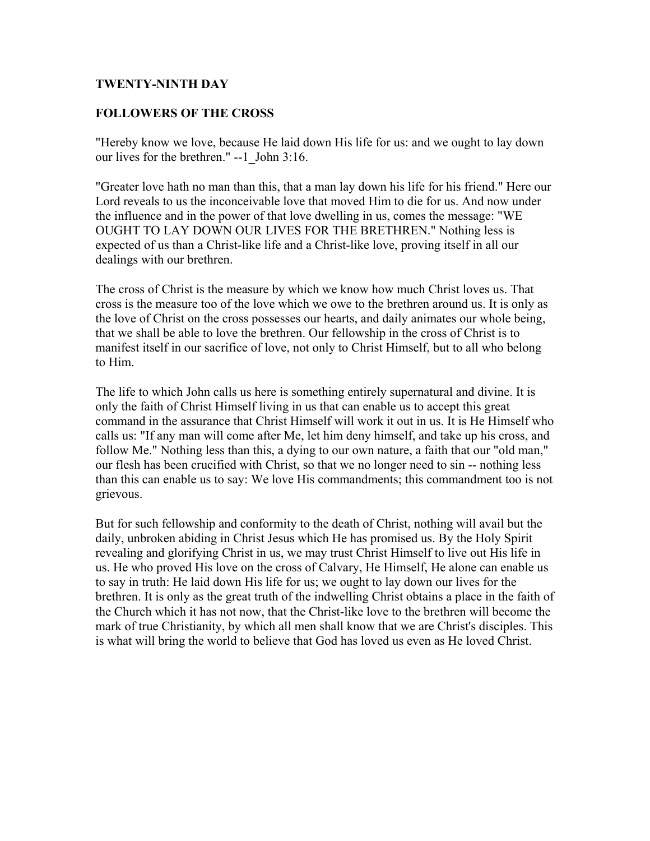## **TWENTY-NINTH DAY**

### **FOLLOWERS OF THE CROSS**

"Hereby know we love, because He laid down His life for us: and we ought to lay down our lives for the brethren." --1 John 3:16.

"Greater love hath no man than this, that a man lay down his life for his friend." Here our Lord reveals to us the inconceivable love that moved Him to die for us. And now under the influence and in the power of that love dwelling in us, comes the message: "WE OUGHT TO LAY DOWN OUR LIVES FOR THE BRETHREN." Nothing less is expected of us than a Christ-like life and a Christ-like love, proving itself in all our dealings with our brethren.

The cross of Christ is the measure by which we know how much Christ loves us. That cross is the measure too of the love which we owe to the brethren around us. It is only as the love of Christ on the cross possesses our hearts, and daily animates our whole being, that we shall be able to love the brethren. Our fellowship in the cross of Christ is to manifest itself in our sacrifice of love, not only to Christ Himself, but to all who belong to Him.

The life to which John calls us here is something entirely supernatural and divine. It is only the faith of Christ Himself living in us that can enable us to accept this great command in the assurance that Christ Himself will work it out in us. It is He Himself who calls us: "If any man will come after Me, let him deny himself, and take up his cross, and follow Me." Nothing less than this, a dying to our own nature, a faith that our "old man," our flesh has been crucified with Christ, so that we no longer need to sin -- nothing less than this can enable us to say: We love His commandments; this commandment too is not grievous.

But for such fellowship and conformity to the death of Christ, nothing will avail but the daily, unbroken abiding in Christ Jesus which He has promised us. By the Holy Spirit revealing and glorifying Christ in us, we may trust Christ Himself to live out His life in us. He who proved His love on the cross of Calvary, He Himself, He alone can enable us to say in truth: He laid down His life for us; we ought to lay down our lives for the brethren. It is only as the great truth of the indwelling Christ obtains a place in the faith of the Church which it has not now, that the Christ-like love to the brethren will become the mark of true Christianity, by which all men shall know that we are Christ's disciples. This is what will bring the world to believe that God has loved us even as He loved Christ.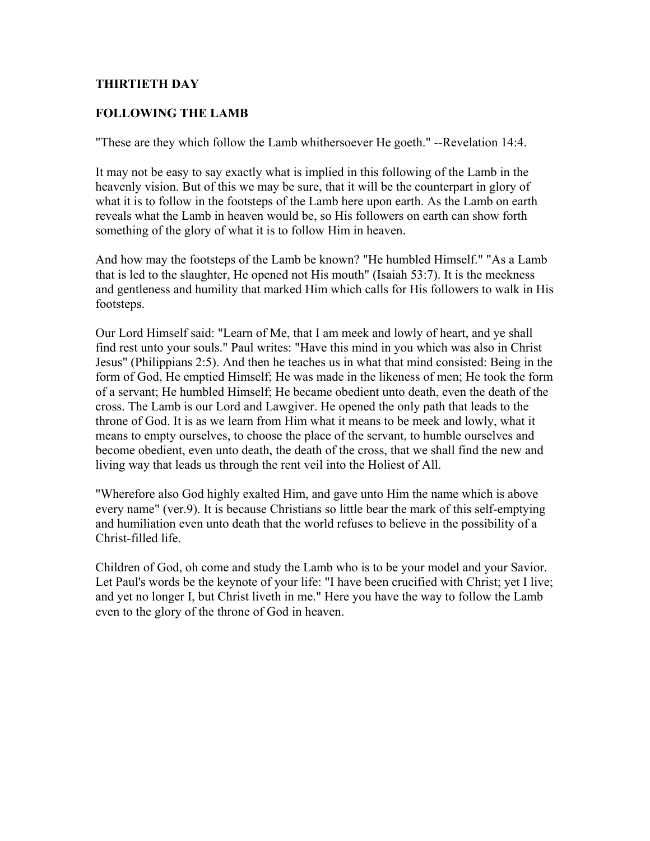# **THIRTIETH DAY**

# **FOLLOWING THE LAMB**

"These are they which follow the Lamb whithersoever He goeth." --Revelation 14:4.

It may not be easy to say exactly what is implied in this following of the Lamb in the heavenly vision. But of this we may be sure, that it will be the counterpart in glory of what it is to follow in the footsteps of the Lamb here upon earth. As the Lamb on earth reveals what the Lamb in heaven would be, so His followers on earth can show forth something of the glory of what it is to follow Him in heaven.

And how may the footsteps of the Lamb be known? "He humbled Himself." "As a Lamb that is led to the slaughter, He opened not His mouth" (Isaiah 53:7). It is the meekness and gentleness and humility that marked Him which calls for His followers to walk in His footsteps.

Our Lord Himself said: "Learn of Me, that I am meek and lowly of heart, and ye shall find rest unto your souls." Paul writes: "Have this mind in you which was also in Christ Jesus" (Philippians 2:5). And then he teaches us in what that mind consisted: Being in the form of God, He emptied Himself; He was made in the likeness of men; He took the form of a servant; He humbled Himself; He became obedient unto death, even the death of the cross. The Lamb is our Lord and Lawgiver. He opened the only path that leads to the throne of God. It is as we learn from Him what it means to be meek and lowly, what it means to empty ourselves, to choose the place of the servant, to humble ourselves and become obedient, even unto death, the death of the cross, that we shall find the new and living way that leads us through the rent veil into the Holiest of All.

"Wherefore also God highly exalted Him, and gave unto Him the name which is above every name" (ver.9). It is because Christians so little bear the mark of this self-emptying and humiliation even unto death that the world refuses to believe in the possibility of a Christ-filled life.

Children of God, oh come and study the Lamb who is to be your model and your Savior. Let Paul's words be the keynote of your life: "I have been crucified with Christ; yet I live; and yet no longer I, but Christ liveth in me." Here you have the way to follow the Lamb even to the glory of the throne of God in heaven.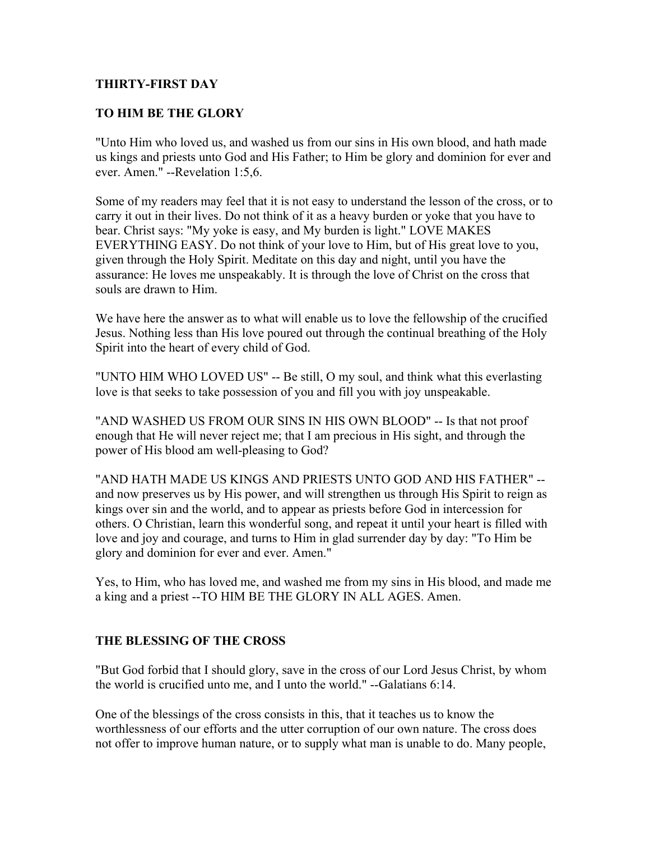# **THIRTY-FIRST DAY**

# **TO HIM BE THE GLORY**

"Unto Him who loved us, and washed us from our sins in His own blood, and hath made us kings and priests unto God and His Father; to Him be glory and dominion for ever and ever. Amen." --Revelation 1:5,6.

Some of my readers may feel that it is not easy to understand the lesson of the cross, or to carry it out in their lives. Do not think of it as a heavy burden or yoke that you have to bear. Christ says: "My yoke is easy, and My burden is light." LOVE MAKES EVERYTHING EASY. Do not think of your love to Him, but of His great love to you, given through the Holy Spirit. Meditate on this day and night, until you have the assurance: He loves me unspeakably. It is through the love of Christ on the cross that souls are drawn to Him.

We have here the answer as to what will enable us to love the fellowship of the crucified Jesus. Nothing less than His love poured out through the continual breathing of the Holy Spirit into the heart of every child of God.

"UNTO HIM WHO LOVED US" -- Be still, O my soul, and think what this everlasting love is that seeks to take possession of you and fill you with joy unspeakable.

"AND WASHED US FROM OUR SINS IN HIS OWN BLOOD" -- Is that not proof enough that He will never reject me; that I am precious in His sight, and through the power of His blood am well-pleasing to God?

"AND HATH MADE US KINGS AND PRIESTS UNTO GOD AND HIS FATHER" - and now preserves us by His power, and will strengthen us through His Spirit to reign as kings over sin and the world, and to appear as priests before God in intercession for others. O Christian, learn this wonderful song, and repeat it until your heart is filled with love and joy and courage, and turns to Him in glad surrender day by day: "To Him be glory and dominion for ever and ever. Amen."

Yes, to Him, who has loved me, and washed me from my sins in His blood, and made me a king and a priest --TO HIM BE THE GLORY IN ALL AGES. Amen.

# **THE BLESSING OF THE CROSS**

"But God forbid that I should glory, save in the cross of our Lord Jesus Christ, by whom the world is crucified unto me, and I unto the world." --Galatians 6:14.

One of the blessings of the cross consists in this, that it teaches us to know the worthlessness of our efforts and the utter corruption of our own nature. The cross does not offer to improve human nature, or to supply what man is unable to do. Many people,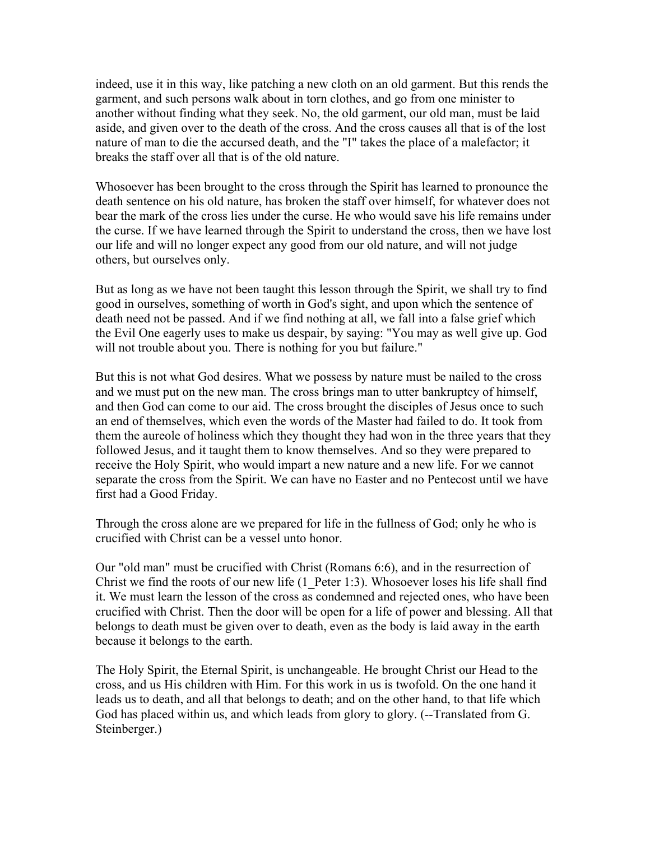indeed, use it in this way, like patching a new cloth on an old garment. But this rends the garment, and such persons walk about in torn clothes, and go from one minister to another without finding what they seek. No, the old garment, our old man, must be laid aside, and given over to the death of the cross. And the cross causes all that is of the lost nature of man to die the accursed death, and the "I" takes the place of a malefactor; it breaks the staff over all that is of the old nature.

Whosoever has been brought to the cross through the Spirit has learned to pronounce the death sentence on his old nature, has broken the staff over himself, for whatever does not bear the mark of the cross lies under the curse. He who would save his life remains under the curse. If we have learned through the Spirit to understand the cross, then we have lost our life and will no longer expect any good from our old nature, and will not judge others, but ourselves only.

But as long as we have not been taught this lesson through the Spirit, we shall try to find good in ourselves, something of worth in God's sight, and upon which the sentence of death need not be passed. And if we find nothing at all, we fall into a false grief which the Evil One eagerly uses to make us despair, by saying: "You may as well give up. God will not trouble about you. There is nothing for you but failure."

But this is not what God desires. What we possess by nature must be nailed to the cross and we must put on the new man. The cross brings man to utter bankruptcy of himself, and then God can come to our aid. The cross brought the disciples of Jesus once to such an end of themselves, which even the words of the Master had failed to do. It took from them the aureole of holiness which they thought they had won in the three years that they followed Jesus, and it taught them to know themselves. And so they were prepared to receive the Holy Spirit, who would impart a new nature and a new life. For we cannot separate the cross from the Spirit. We can have no Easter and no Pentecost until we have first had a Good Friday.

Through the cross alone are we prepared for life in the fullness of God; only he who is crucified with Christ can be a vessel unto honor.

Our "old man" must be crucified with Christ (Romans 6:6), and in the resurrection of Christ we find the roots of our new life (1 Peter 1:3). Whosoever loses his life shall find it. We must learn the lesson of the cross as condemned and rejected ones, who have been crucified with Christ. Then the door will be open for a life of power and blessing. All that belongs to death must be given over to death, even as the body is laid away in the earth because it belongs to the earth.

The Holy Spirit, the Eternal Spirit, is unchangeable. He brought Christ our Head to the cross, and us His children with Him. For this work in us is twofold. On the one hand it leads us to death, and all that belongs to death; and on the other hand, to that life which God has placed within us, and which leads from glory to glory. (--Translated from G. Steinberger.)